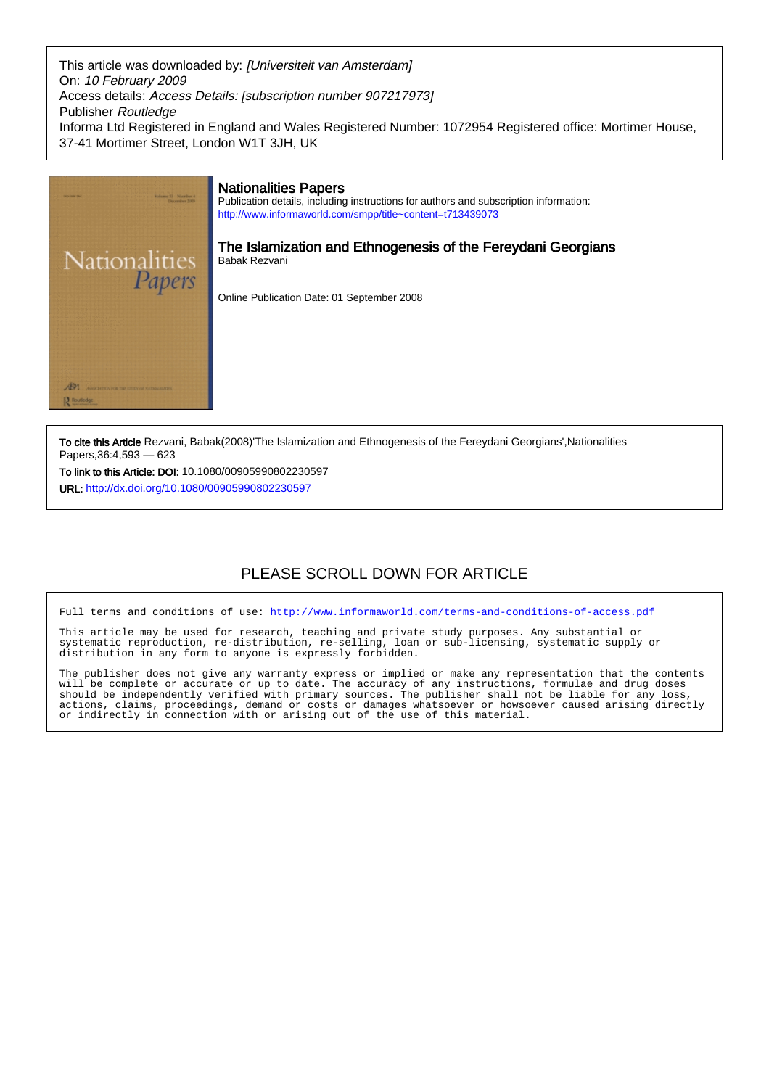This article was downloaded by: [Universiteit van Amsterdam] On: 10 February 2009 Access details: Access Details: [subscription number 907217973] Publisher Routledge Informa Ltd Registered in England and Wales Registered Number: 1072954 Registered office: Mortimer House, 37-41 Mortimer Street, London W1T 3JH, UK



To cite this Article Rezvani, Babak(2008)'The Islamization and Ethnogenesis of the Fereydani Georgians', Nationalities Papers,36:4,593 — 623

To link to this Article: DOI: 10.1080/00905990802230597 URL: <http://dx.doi.org/10.1080/00905990802230597>

# PLEASE SCROLL DOWN FOR ARTICLE

Full terms and conditions of use:<http://www.informaworld.com/terms-and-conditions-of-access.pdf>

This article may be used for research, teaching and private study purposes. Any substantial or systematic reproduction, re-distribution, re-selling, loan or sub-licensing, systematic supply or distribution in any form to anyone is expressly forbidden.

The publisher does not give any warranty express or implied or make any representation that the contents will be complete or accurate or up to date. The accuracy of any instructions, formulae and drug doses should be independently verified with primary sources. The publisher shall not be liable for any loss, actions, claims, proceedings, demand or costs or damages whatsoever or howsoever caused arising directly or indirectly in connection with or arising out of the use of this material.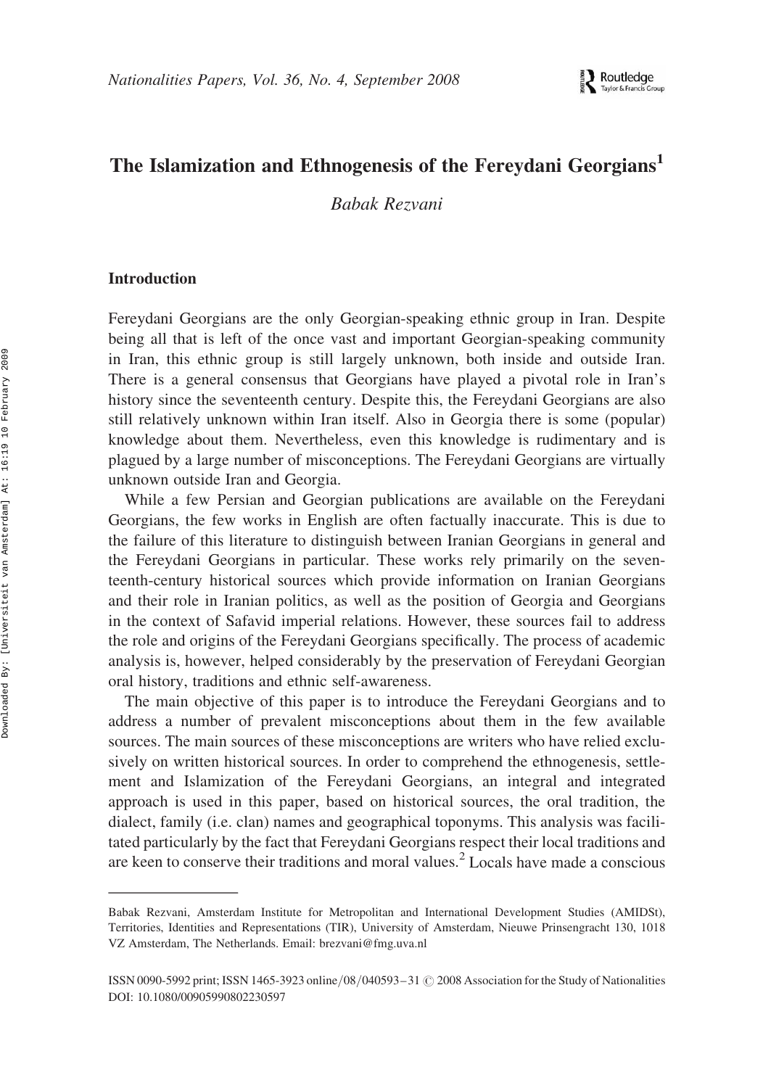## The Islamization and Ethnogenesis of the Fereydani Georgians<sup>1</sup>

Babak Rezvani

### Introduction

Fereydani Georgians are the only Georgian-speaking ethnic group in Iran. Despite being all that is left of the once vast and important Georgian-speaking community in Iran, this ethnic group is still largely unknown, both inside and outside Iran. There is a general consensus that Georgians have played a pivotal role in Iran's history since the seventeenth century. Despite this, the Fereydani Georgians are also still relatively unknown within Iran itself. Also in Georgia there is some (popular) knowledge about them. Nevertheless, even this knowledge is rudimentary and is plagued by a large number of misconceptions. The Fereydani Georgians are virtually unknown outside Iran and Georgia.

While a few Persian and Georgian publications are available on the Fereydani Georgians, the few works in English are often factually inaccurate. This is due to the failure of this literature to distinguish between Iranian Georgians in general and the Fereydani Georgians in particular. These works rely primarily on the seventeenth-century historical sources which provide information on Iranian Georgians and their role in Iranian politics, as well as the position of Georgia and Georgians in the context of Safavid imperial relations. However, these sources fail to address the role and origins of the Fereydani Georgians specifically. The process of academic analysis is, however, helped considerably by the preservation of Fereydani Georgian oral history, traditions and ethnic self-awareness.

The main objective of this paper is to introduce the Fereydani Georgians and to address a number of prevalent misconceptions about them in the few available sources. The main sources of these misconceptions are writers who have relied exclusively on written historical sources. In order to comprehend the ethnogenesis, settlement and Islamization of the Fereydani Georgians, an integral and integrated approach is used in this paper, based on historical sources, the oral tradition, the dialect, family (i.e. clan) names and geographical toponyms. This analysis was facilitated particularly by the fact that Fereydani Georgians respect their local traditions and are keen to conserve their traditions and moral values.<sup>2</sup> Locals have made a conscious

Babak Rezvani, Amsterdam Institute for Metropolitan and International Development Studies (AMIDSt), Territories, Identities and Representations (TIR), University of Amsterdam, Nieuwe Prinsengracht 130, 1018 VZ Amsterdam, The Netherlands. Email: brezvani@fmg.uva.nl

ISSN 0090-5992 print; ISSN 1465-3923 online/08/040593–31 *#* 2008 Association for the Study of Nationalities DOI: 10.1080/00905990802230597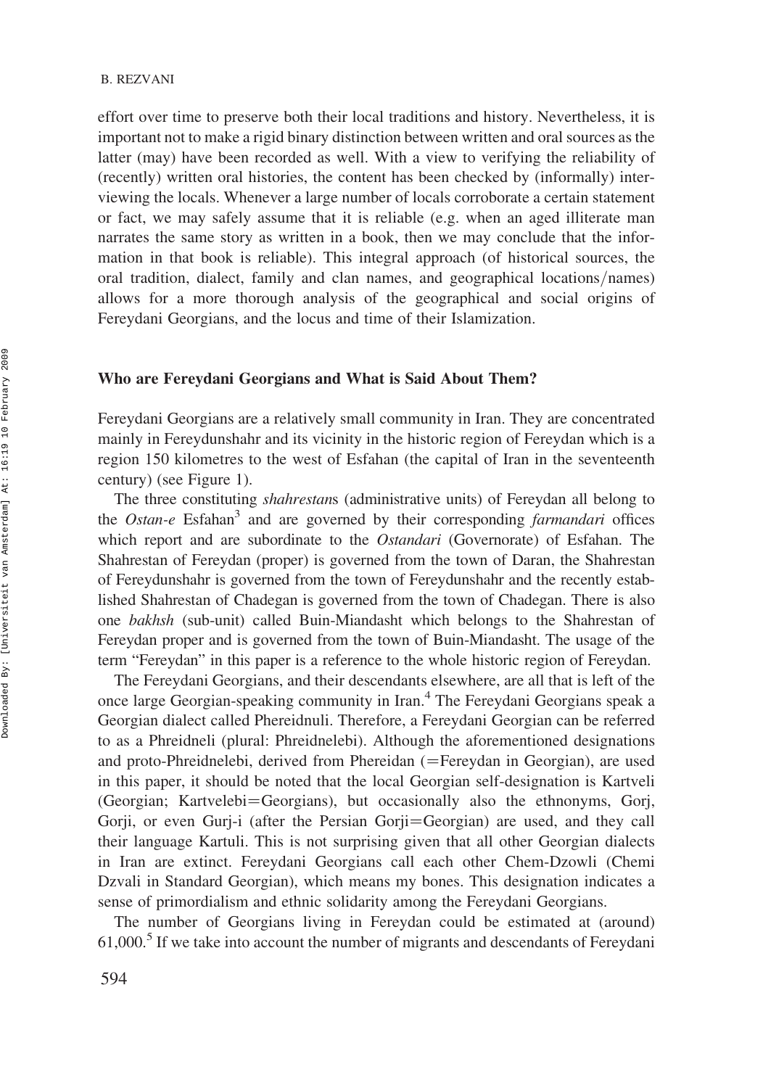effort over time to preserve both their local traditions and history. Nevertheless, it is important not to make a rigid binary distinction between written and oral sources as the latter (may) have been recorded as well. With a view to verifying the reliability of (recently) written oral histories, the content has been checked by (informally) interviewing the locals. Whenever a large number of locals corroborate a certain statement or fact, we may safely assume that it is reliable (e.g. when an aged illiterate man narrates the same story as written in a book, then we may conclude that the information in that book is reliable). This integral approach (of historical sources, the oral tradition, dialect, family and clan names, and geographical locations/names) allows for a more thorough analysis of the geographical and social origins of Fereydani Georgians, and the locus and time of their Islamization.

#### Who are Fereydani Georgians and What is Said About Them?

Fereydani Georgians are a relatively small community in Iran. They are concentrated mainly in Fereydunshahr and its vicinity in the historic region of Fereydan which is a region 150 kilometres to the west of Esfahan (the capital of Iran in the seventeenth century) (see Figure 1).

The three constituting shahrestans (administrative units) of Fereydan all belong to the Ostan-e Esfahan<sup>3</sup> and are governed by their corresponding *farmandari* offices which report and are subordinate to the *Ostandari* (Governorate) of Esfahan. The Shahrestan of Fereydan (proper) is governed from the town of Daran, the Shahrestan of Fereydunshahr is governed from the town of Fereydunshahr and the recently established Shahrestan of Chadegan is governed from the town of Chadegan. There is also one bakhsh (sub-unit) called Buin-Miandasht which belongs to the Shahrestan of Fereydan proper and is governed from the town of Buin-Miandasht. The usage of the term "Fereydan" in this paper is a reference to the whole historic region of Fereydan.

The Fereydani Georgians, and their descendants elsewhere, are all that is left of the once large Georgian-speaking community in Iran.4 The Fereydani Georgians speak a Georgian dialect called Phereidnuli. Therefore, a Fereydani Georgian can be referred to as a Phreidneli (plural: Phreidnelebi). Although the aforementioned designations and proto-Phreidnelebi, derived from Phereidan (=Fereydan in Georgian), are used in this paper, it should be noted that the local Georgian self-designation is Kartveli (Georgian; Kartvelebi=Georgians), but occasionally also the ethnonyms, Gorj, Gorji, or even Gurj-i (after the Persian Gorji=Georgian) are used, and they call their language Kartuli. This is not surprising given that all other Georgian dialects in Iran are extinct. Fereydani Georgians call each other Chem-Dzowli (Chemi Dzvali in Standard Georgian), which means my bones. This designation indicates a sense of primordialism and ethnic solidarity among the Fereydani Georgians.

The number of Georgians living in Fereydan could be estimated at (around) 61,000.5 If we take into account the number of migrants and descendants of Fereydani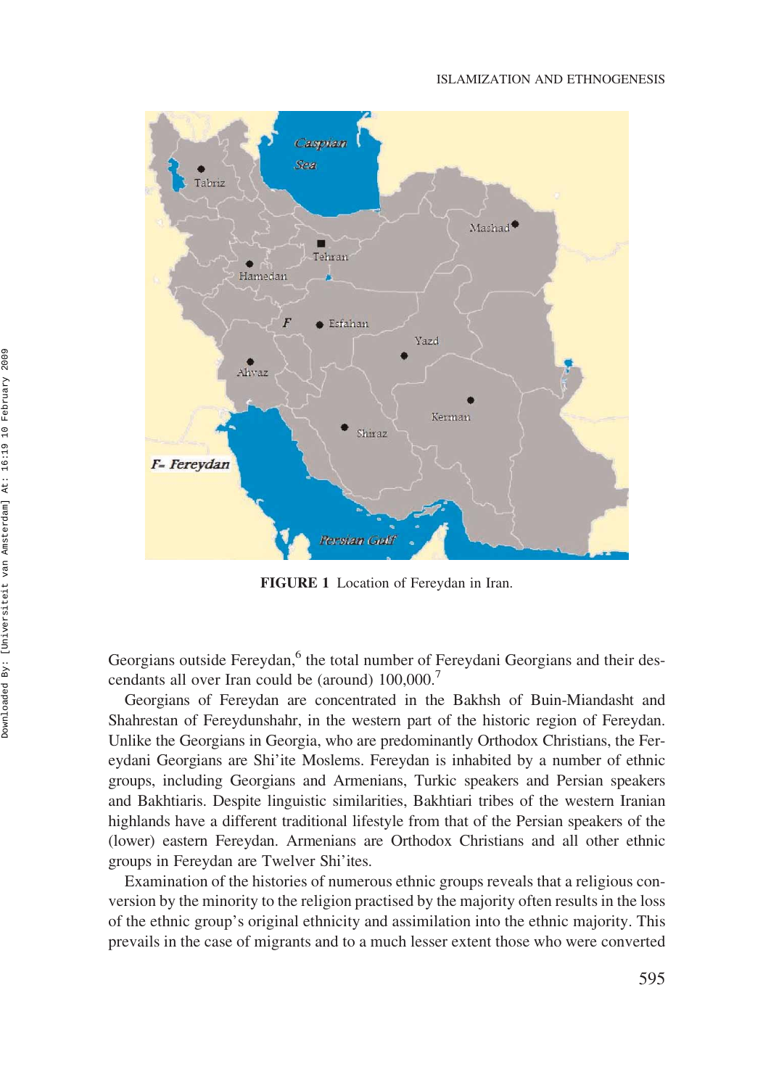

FIGURE 1 Location of Fereydan in Iran.

Georgians outside Fereydan,<sup>6</sup> the total number of Fereydani Georgians and their descendants all over Iran could be (around)  $100,000$ .<sup>7</sup>

Georgians of Fereydan are concentrated in the Bakhsh of Buin-Miandasht and Shahrestan of Fereydunshahr, in the western part of the historic region of Fereydan. Unlike the Georgians in Georgia, who are predominantly Orthodox Christians, the Fereydani Georgians are Shi'ite Moslems. Fereydan is inhabited by a number of ethnic groups, including Georgians and Armenians, Turkic speakers and Persian speakers and Bakhtiaris. Despite linguistic similarities, Bakhtiari tribes of the western Iranian highlands have a different traditional lifestyle from that of the Persian speakers of the (lower) eastern Fereydan. Armenians are Orthodox Christians and all other ethnic groups in Fereydan are Twelver Shi'ites.

Examination of the histories of numerous ethnic groups reveals that a religious conversion by the minority to the religion practised by the majority often results in the loss of the ethnic group's original ethnicity and assimilation into the ethnic majority. This prevails in the case of migrants and to a much lesser extent those who were converted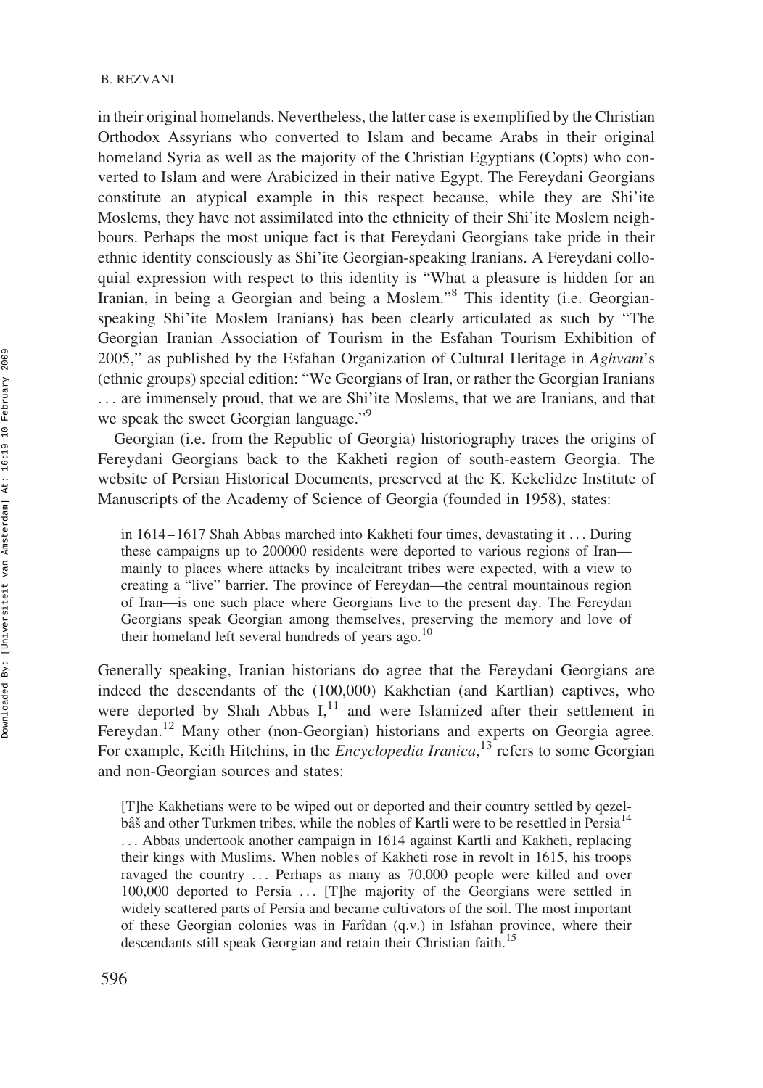in their original homelands. Nevertheless, the latter case is exemplified by the Christian Orthodox Assyrians who converted to Islam and became Arabs in their original homeland Syria as well as the majority of the Christian Egyptians (Copts) who converted to Islam and were Arabicized in their native Egypt. The Fereydani Georgians constitute an atypical example in this respect because, while they are Shi'ite Moslems, they have not assimilated into the ethnicity of their Shi'ite Moslem neighbours. Perhaps the most unique fact is that Fereydani Georgians take pride in their ethnic identity consciously as Shi'ite Georgian-speaking Iranians. A Fereydani colloquial expression with respect to this identity is "What a pleasure is hidden for an Iranian, in being a Georgian and being a Moslem."8 This identity (i.e. Georgianspeaking Shi'ite Moslem Iranians) has been clearly articulated as such by "The Georgian Iranian Association of Tourism in the Esfahan Tourism Exhibition of 2005," as published by the Esfahan Organization of Cultural Heritage in Aghvam's (ethnic groups) special edition: "We Georgians of Iran, or rather the Georgian Iranians ... are immensely proud, that we are Shi'ite Moslems, that we are Iranians, and that we speak the sweet Georgian language."<sup>9</sup>

Georgian (i.e. from the Republic of Georgia) historiography traces the origins of Fereydani Georgians back to the Kakheti region of south-eastern Georgia. The website of Persian Historical Documents, preserved at the K. Kekelidze Institute of Manuscripts of the Academy of Science of Georgia (founded in 1958), states:

in 1614–1617 Shah Abbas marched into Kakheti four times, devastating it ... During these campaigns up to 200000 residents were deported to various regions of Iran mainly to places where attacks by incalcitrant tribes were expected, with a view to creating a "live" barrier. The province of Fereydan—the central mountainous region of Iran—is one such place where Georgians live to the present day. The Fereydan Georgians speak Georgian among themselves, preserving the memory and love of their homeland left several hundreds of years ago.<sup>10</sup>

Generally speaking, Iranian historians do agree that the Fereydani Georgians are indeed the descendants of the (100,000) Kakhetian (and Kartlian) captives, who were deported by Shah Abbas  $I<sub>1</sub><sup>11</sup>$  and were Islamized after their settlement in Fereydan.<sup>12</sup> Many other (non-Georgian) historians and experts on Georgia agree. For example, Keith Hitchins, in the *Encyclopedia Iranica*,<sup>13</sup> refers to some Georgian and non-Georgian sources and states:

[T]he Kakhetians were to be wiped out or deported and their country settled by qezelbâš and other Turkmen tribes, while the nobles of Kartli were to be resettled in Persia<sup>14</sup> ... Abbas undertook another campaign in 1614 against Kartli and Kakheti, replacing their kings with Muslims. When nobles of Kakheti rose in revolt in 1615, his troops ravaged the country ... Perhaps as many as 70,000 people were killed and over 100,000 deported to Persia ... [T]he majority of the Georgians were settled in widely scattered parts of Persia and became cultivators of the soil. The most important of these Georgian colonies was in Farîdan (q.v.) in Isfahan province, where their descendants still speak Georgian and retain their Christian faith.<sup>15</sup>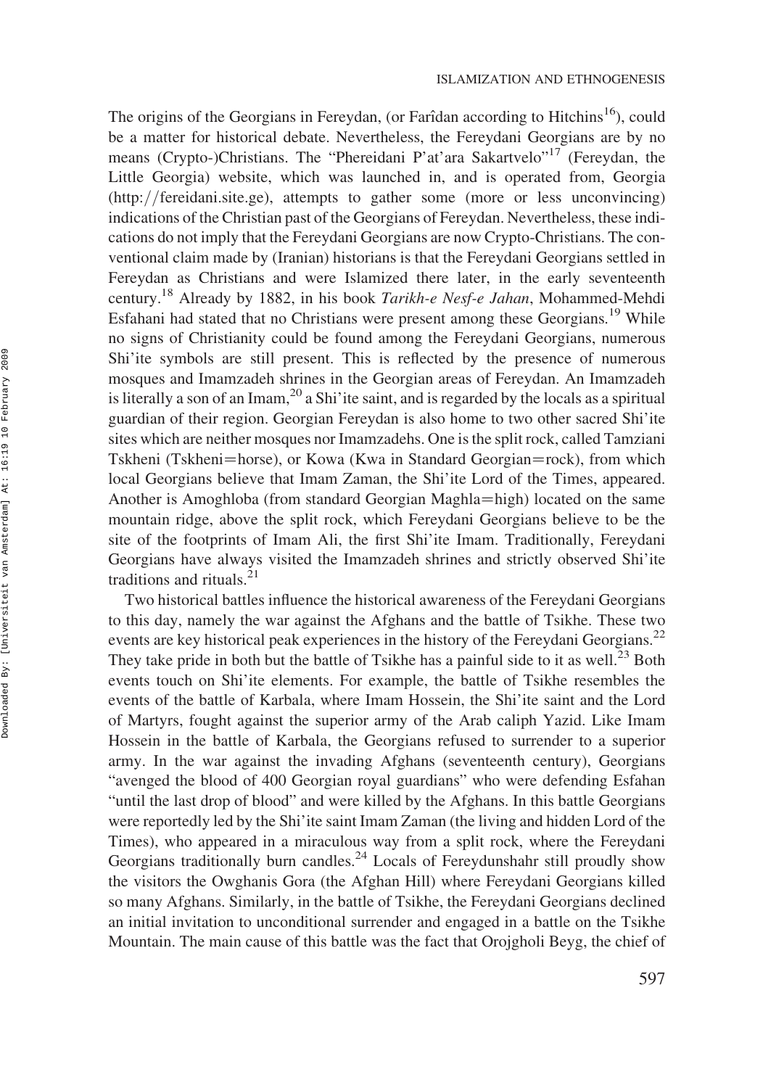The origins of the Georgians in Fereydan, (or Farîdan according to Hitchins<sup>16</sup>), could be a matter for historical debate. Nevertheless, the Fereydani Georgians are by no means (Crypto-)Christians. The "Phereidani P'at'ara Sakartvelo"<sup>17</sup> (Fereydan, the Little Georgia) website, which was launched in, and is operated from, Georgia (http://fereidani.site.ge), attempts to gather some (more or less unconvincing) indications of the Christian past of the Georgians of Fereydan. Nevertheless, these indications do not imply that the Fereydani Georgians are now Crypto-Christians. The conventional claim made by (Iranian) historians is that the Fereydani Georgians settled in Fereydan as Christians and were Islamized there later, in the early seventeenth century.<sup>18</sup> Already by 1882, in his book *Tarikh-e Nesf-e Jahan*, Mohammed-Mehdi Esfahani had stated that no Christians were present among these Georgians.<sup>19</sup> While no signs of Christianity could be found among the Fereydani Georgians, numerous Shi'ite symbols are still present. This is reflected by the presence of numerous mosques and Imamzadeh shrines in the Georgian areas of Fereydan. An Imamzadeh is literally a son of an Imam,<sup>20</sup> a Shi'ite saint, and is regarded by the locals as a spiritual guardian of their region. Georgian Fereydan is also home to two other sacred Shi'ite sites which are neither mosques nor Imamzadehs. One is the split rock, called Tamziani Tskheni (Tskheni=horse), or Kowa (Kwa in Standard Georgian=rock), from which local Georgians believe that Imam Zaman, the Shi'ite Lord of the Times, appeared. Another is Amoghloba (from standard Georgian Maghla=high) located on the same mountain ridge, above the split rock, which Fereydani Georgians believe to be the site of the footprints of Imam Ali, the first Shi'ite Imam. Traditionally, Fereydani Georgians have always visited the Imamzadeh shrines and strictly observed Shi'ite traditions and rituals.<sup>21</sup>

Two historical battles influence the historical awareness of the Fereydani Georgians to this day, namely the war against the Afghans and the battle of Tsikhe. These two events are key historical peak experiences in the history of the Fereydani Georgians.<sup>22</sup> They take pride in both but the battle of Tsikhe has a painful side to it as well.<sup>23</sup> Both events touch on Shi'ite elements. For example, the battle of Tsikhe resembles the events of the battle of Karbala, where Imam Hossein, the Shi'ite saint and the Lord of Martyrs, fought against the superior army of the Arab caliph Yazid. Like Imam Hossein in the battle of Karbala, the Georgians refused to surrender to a superior army. In the war against the invading Afghans (seventeenth century), Georgians "avenged the blood of 400 Georgian royal guardians" who were defending Esfahan "until the last drop of blood" and were killed by the Afghans. In this battle Georgians were reportedly led by the Shi'ite saint Imam Zaman (the living and hidden Lord of the Times), who appeared in a miraculous way from a split rock, where the Fereydani Georgians traditionally burn candles.<sup>24</sup> Locals of Fereydunshahr still proudly show the visitors the Owghanis Gora (the Afghan Hill) where Fereydani Georgians killed so many Afghans. Similarly, in the battle of Tsikhe, the Fereydani Georgians declined an initial invitation to unconditional surrender and engaged in a battle on the Tsikhe Mountain. The main cause of this battle was the fact that Orojgholi Beyg, the chief of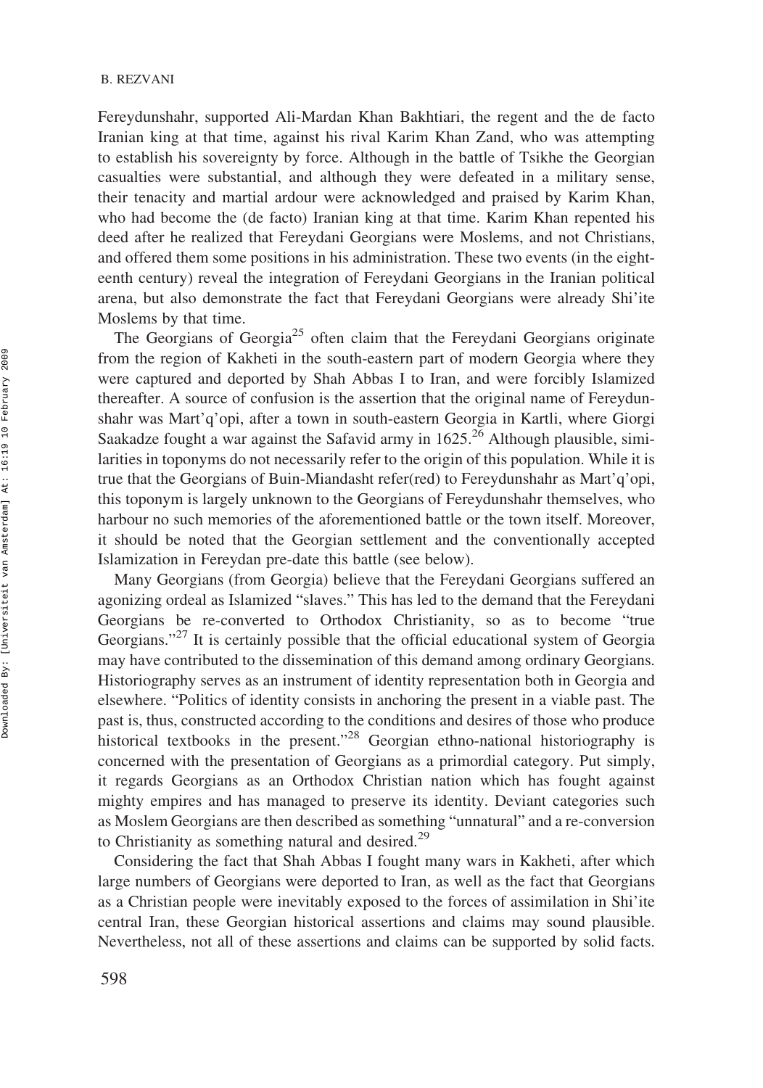Fereydunshahr, supported Ali-Mardan Khan Bakhtiari, the regent and the de facto Iranian king at that time, against his rival Karim Khan Zand, who was attempting to establish his sovereignty by force. Although in the battle of Tsikhe the Georgian casualties were substantial, and although they were defeated in a military sense, their tenacity and martial ardour were acknowledged and praised by Karim Khan, who had become the (de facto) Iranian king at that time. Karim Khan repented his deed after he realized that Fereydani Georgians were Moslems, and not Christians, and offered them some positions in his administration. These two events (in the eighteenth century) reveal the integration of Fereydani Georgians in the Iranian political arena, but also demonstrate the fact that Fereydani Georgians were already Shi'ite Moslems by that time.

The Georgians of Georgia<sup>25</sup> often claim that the Fereydani Georgians originate from the region of Kakheti in the south-eastern part of modern Georgia where they were captured and deported by Shah Abbas I to Iran, and were forcibly Islamized thereafter. A source of confusion is the assertion that the original name of Fereydunshahr was Mart'q'opi, after a town in south-eastern Georgia in Kartli, where Giorgi Saakadze fought a war against the Safavid army in 1625.<sup>26</sup> Although plausible, similarities in toponyms do not necessarily refer to the origin of this population. While it is true that the Georgians of Buin-Miandasht refer(red) to Fereydunshahr as Mart'q'opi, this toponym is largely unknown to the Georgians of Fereydunshahr themselves, who harbour no such memories of the aforementioned battle or the town itself. Moreover, it should be noted that the Georgian settlement and the conventionally accepted Islamization in Fereydan pre-date this battle (see below).

Many Georgians (from Georgia) believe that the Fereydani Georgians suffered an agonizing ordeal as Islamized "slaves." This has led to the demand that the Fereydani Georgians be re-converted to Orthodox Christianity, so as to become "true Georgians."<sup>27</sup> It is certainly possible that the official educational system of Georgia may have contributed to the dissemination of this demand among ordinary Georgians. Historiography serves as an instrument of identity representation both in Georgia and elsewhere. "Politics of identity consists in anchoring the present in a viable past. The past is, thus, constructed according to the conditions and desires of those who produce historical textbooks in the present.<sup> $28$ </sup> Georgian ethno-national historiography is concerned with the presentation of Georgians as a primordial category. Put simply, it regards Georgians as an Orthodox Christian nation which has fought against mighty empires and has managed to preserve its identity. Deviant categories such as Moslem Georgians are then described as something "unnatural" and a re-conversion to Christianity as something natural and desired.<sup>29</sup>

Considering the fact that Shah Abbas I fought many wars in Kakheti, after which large numbers of Georgians were deported to Iran, as well as the fact that Georgians as a Christian people were inevitably exposed to the forces of assimilation in Shi'ite central Iran, these Georgian historical assertions and claims may sound plausible. Nevertheless, not all of these assertions and claims can be supported by solid facts.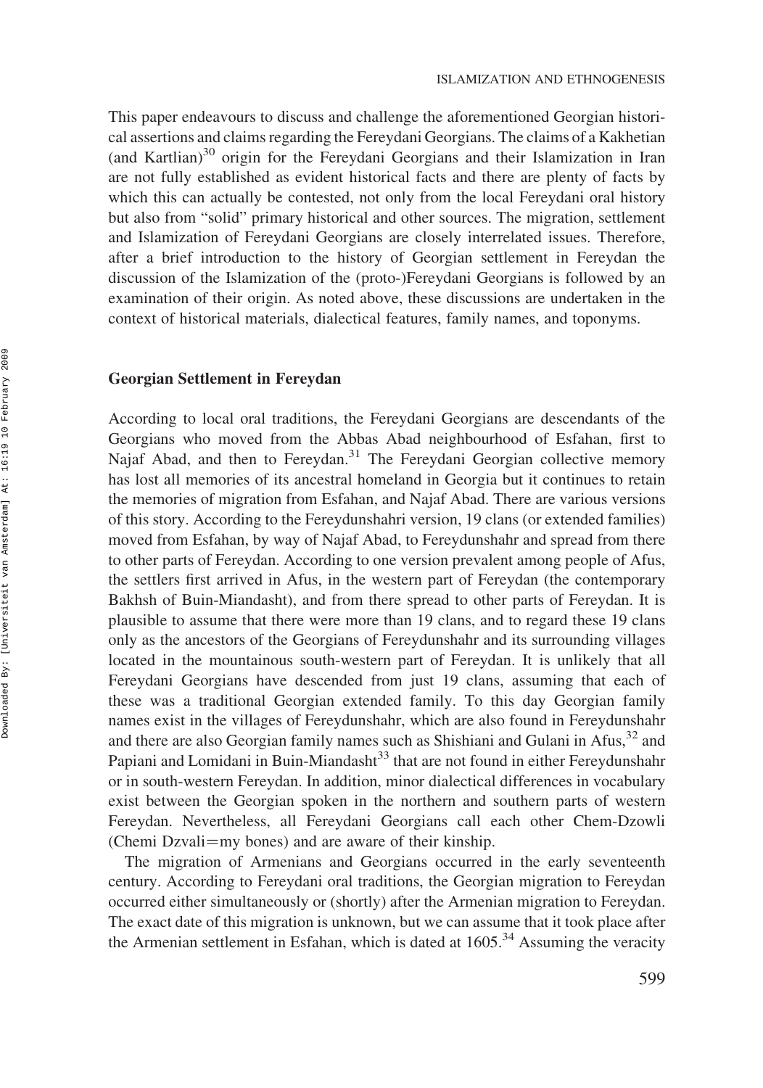This paper endeavours to discuss and challenge the aforementioned Georgian historical assertions and claims regarding the Fereydani Georgians. The claims of a Kakhetian  $($ and Kartlian $)$ <sup>30</sup> origin for the Fereydani Georgians and their Islamization in Iran are not fully established as evident historical facts and there are plenty of facts by which this can actually be contested, not only from the local Fereydani oral history but also from "solid" primary historical and other sources. The migration, settlement and Islamization of Fereydani Georgians are closely interrelated issues. Therefore, after a brief introduction to the history of Georgian settlement in Fereydan the discussion of the Islamization of the (proto-)Fereydani Georgians is followed by an examination of their origin. As noted above, these discussions are undertaken in the context of historical materials, dialectical features, family names, and toponyms.

#### Georgian Settlement in Fereydan

According to local oral traditions, the Fereydani Georgians are descendants of the Georgians who moved from the Abbas Abad neighbourhood of Esfahan, first to Najaf Abad, and then to Fereydan.<sup>31</sup> The Fereydani Georgian collective memory has lost all memories of its ancestral homeland in Georgia but it continues to retain the memories of migration from Esfahan, and Najaf Abad. There are various versions of this story. According to the Fereydunshahri version, 19 clans (or extended families) moved from Esfahan, by way of Najaf Abad, to Fereydunshahr and spread from there to other parts of Fereydan. According to one version prevalent among people of Afus, the settlers first arrived in Afus, in the western part of Fereydan (the contemporary Bakhsh of Buin-Miandasht), and from there spread to other parts of Fereydan. It is plausible to assume that there were more than 19 clans, and to regard these 19 clans only as the ancestors of the Georgians of Fereydunshahr and its surrounding villages located in the mountainous south-western part of Fereydan. It is unlikely that all Fereydani Georgians have descended from just 19 clans, assuming that each of these was a traditional Georgian extended family. To this day Georgian family names exist in the villages of Fereydunshahr, which are also found in Fereydunshahr and there are also Georgian family names such as Shishiani and Gulani in Afus, $32$  and Papiani and Lomidani in Buin-Miandasht<sup>33</sup> that are not found in either Fereydunshahr or in south-western Fereydan. In addition, minor dialectical differences in vocabulary exist between the Georgian spoken in the northern and southern parts of western Fereydan. Nevertheless, all Fereydani Georgians call each other Chem-Dzowli (Chemi Dzvali  $=$ my bones) and are aware of their kinship.

The migration of Armenians and Georgians occurred in the early seventeenth century. According to Fereydani oral traditions, the Georgian migration to Fereydan occurred either simultaneously or (shortly) after the Armenian migration to Fereydan. The exact date of this migration is unknown, but we can assume that it took place after the Armenian settlement in Esfahan, which is dated at  $1605$ .<sup>34</sup> Assuming the veracity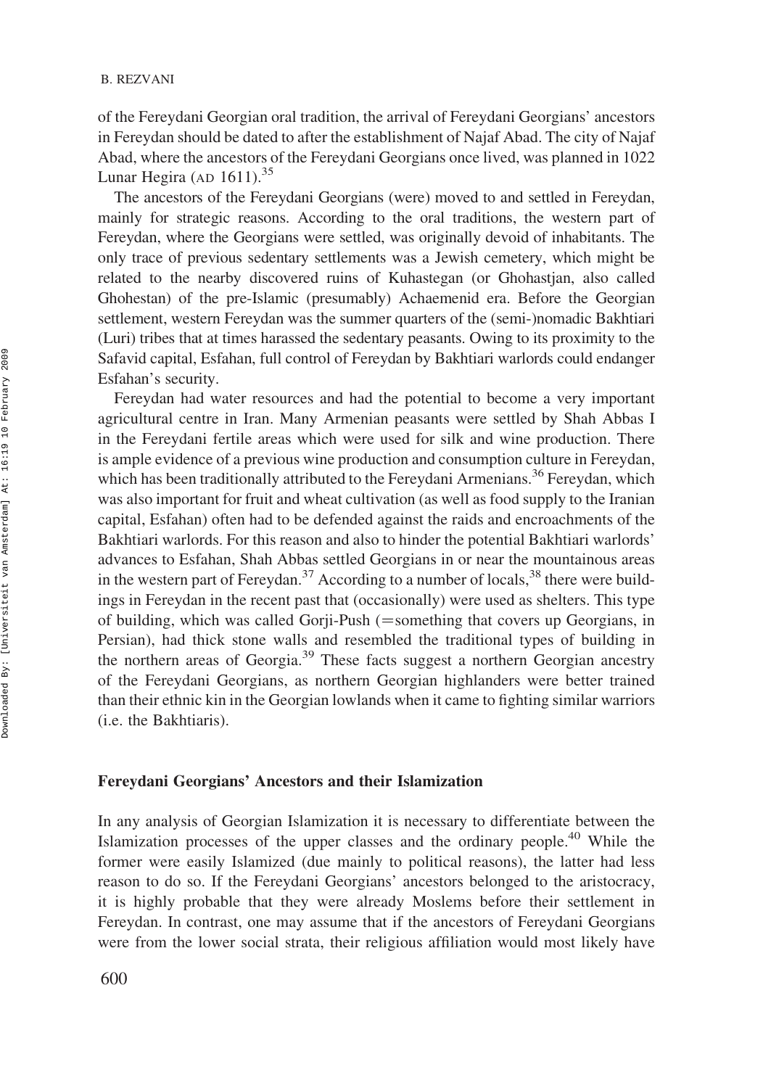of the Fereydani Georgian oral tradition, the arrival of Fereydani Georgians' ancestors in Fereydan should be dated to after the establishment of Najaf Abad. The city of Najaf Abad, where the ancestors of the Fereydani Georgians once lived, was planned in 1022 Lunar Hegira (AD  $1611$ ).<sup>35</sup>

The ancestors of the Fereydani Georgians (were) moved to and settled in Fereydan, mainly for strategic reasons. According to the oral traditions, the western part of Fereydan, where the Georgians were settled, was originally devoid of inhabitants. The only trace of previous sedentary settlements was a Jewish cemetery, which might be related to the nearby discovered ruins of Kuhastegan (or Ghohastjan, also called Ghohestan) of the pre-Islamic (presumably) Achaemenid era. Before the Georgian settlement, western Fereydan was the summer quarters of the (semi-)nomadic Bakhtiari (Luri) tribes that at times harassed the sedentary peasants. Owing to its proximity to the Safavid capital, Esfahan, full control of Fereydan by Bakhtiari warlords could endanger Esfahan's security.

Fereydan had water resources and had the potential to become a very important agricultural centre in Iran. Many Armenian peasants were settled by Shah Abbas I in the Fereydani fertile areas which were used for silk and wine production. There is ample evidence of a previous wine production and consumption culture in Fereydan, which has been traditionally attributed to the Fereydani Armenians.<sup>36</sup> Fereydan, which was also important for fruit and wheat cultivation (as well as food supply to the Iranian capital, Esfahan) often had to be defended against the raids and encroachments of the Bakhtiari warlords. For this reason and also to hinder the potential Bakhtiari warlords' advances to Esfahan, Shah Abbas settled Georgians in or near the mountainous areas in the western part of Fereydan.<sup>37</sup> According to a number of locals,  $38$  there were buildings in Fereydan in the recent past that (occasionally) were used as shelters. This type of building, which was called Gorji-Push ( $=$ something that covers up Georgians, in Persian), had thick stone walls and resembled the traditional types of building in the northern areas of Georgia.<sup>39</sup> These facts suggest a northern Georgian ancestry of the Fereydani Georgians, as northern Georgian highlanders were better trained than their ethnic kin in the Georgian lowlands when it came to fighting similar warriors (i.e. the Bakhtiaris).

#### Fereydani Georgians' Ancestors and their Islamization

In any analysis of Georgian Islamization it is necessary to differentiate between the Islamization processes of the upper classes and the ordinary people.40 While the former were easily Islamized (due mainly to political reasons), the latter had less reason to do so. If the Fereydani Georgians' ancestors belonged to the aristocracy, it is highly probable that they were already Moslems before their settlement in Fereydan. In contrast, one may assume that if the ancestors of Fereydani Georgians were from the lower social strata, their religious affiliation would most likely have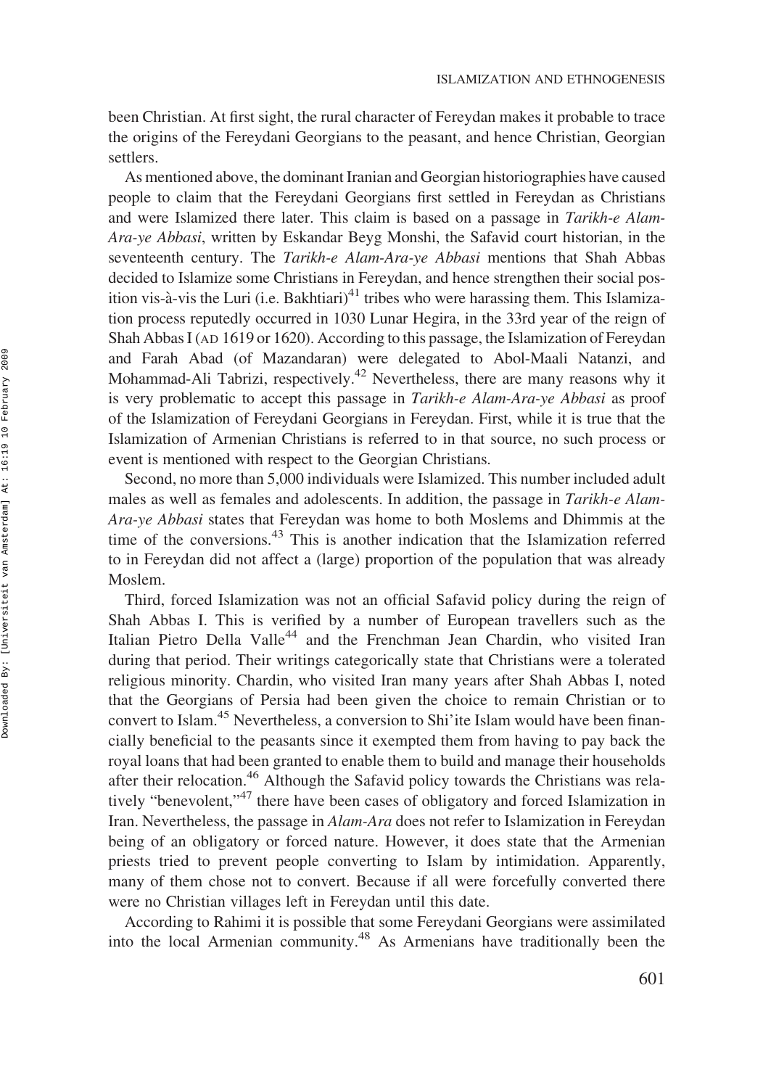been Christian. At first sight, the rural character of Fereydan makes it probable to trace the origins of the Fereydani Georgians to the peasant, and hence Christian, Georgian settlers.

As mentioned above, the dominant Iranian and Georgian historiographies have caused people to claim that the Fereydani Georgians first settled in Fereydan as Christians and were Islamized there later. This claim is based on a passage in Tarikh-e Alam-Ara-ye Abbasi, written by Eskandar Beyg Monshi, the Safavid court historian, in the seventeenth century. The Tarikh-e Alam-Ara-ye Abbasi mentions that Shah Abbas decided to Islamize some Christians in Fereydan, and hence strengthen their social position vis-à-vis the Luri (i.e. Bakhtiari) $41$  tribes who were harassing them. This Islamization process reputedly occurred in 1030 Lunar Hegira, in the 33rd year of the reign of Shah Abbas I (AD 1619 or 1620). According to this passage, the Islamization of Fereydan and Farah Abad (of Mazandaran) were delegated to Abol-Maali Natanzi, and Mohammad-Ali Tabrizi, respectively.<sup>42</sup> Nevertheless, there are many reasons why it is very problematic to accept this passage in Tarikh-e Alam-Ara-ye Abbasi as proof of the Islamization of Fereydani Georgians in Fereydan. First, while it is true that the Islamization of Armenian Christians is referred to in that source, no such process or event is mentioned with respect to the Georgian Christians.

Second, no more than 5,000 individuals were Islamized. This number included adult males as well as females and adolescents. In addition, the passage in Tarikh-e Alam-Ara-ye Abbasi states that Fereydan was home to both Moslems and Dhimmis at the time of the conversions. $43$  This is another indication that the Islamization referred to in Fereydan did not affect a (large) proportion of the population that was already Moslem.

Third, forced Islamization was not an official Safavid policy during the reign of Shah Abbas I. This is verified by a number of European travellers such as the Italian Pietro Della Valle<sup>44</sup> and the Frenchman Jean Chardin, who visited Iran during that period. Their writings categorically state that Christians were a tolerated religious minority. Chardin, who visited Iran many years after Shah Abbas I, noted that the Georgians of Persia had been given the choice to remain Christian or to convert to Islam.<sup>45</sup> Nevertheless, a conversion to Shi'ite Islam would have been financially beneficial to the peasants since it exempted them from having to pay back the royal loans that had been granted to enable them to build and manage their households after their relocation.<sup>46</sup> Although the Safavid policy towards the Christians was relatively "benevolent,"47 there have been cases of obligatory and forced Islamization in Iran. Nevertheless, the passage in Alam-Ara does not refer to Islamization in Fereydan being of an obligatory or forced nature. However, it does state that the Armenian priests tried to prevent people converting to Islam by intimidation. Apparently, many of them chose not to convert. Because if all were forcefully converted there were no Christian villages left in Fereydan until this date.

According to Rahimi it is possible that some Fereydani Georgians were assimilated into the local Armenian community.48 As Armenians have traditionally been the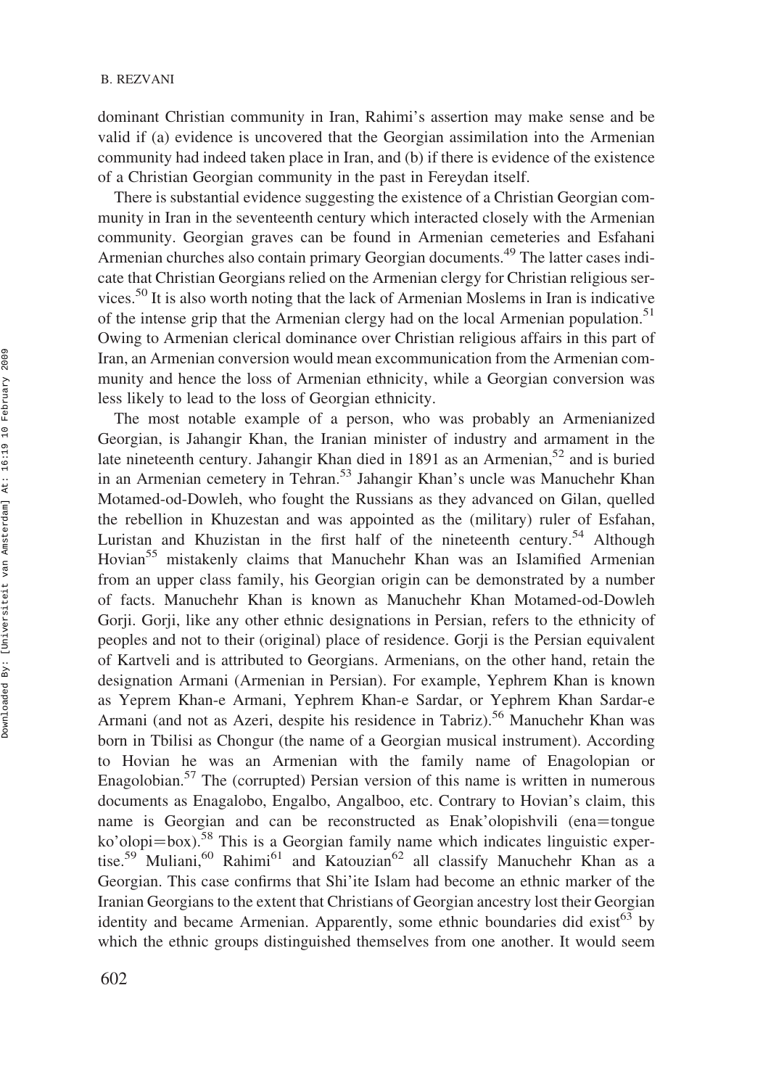dominant Christian community in Iran, Rahimi's assertion may make sense and be valid if (a) evidence is uncovered that the Georgian assimilation into the Armenian community had indeed taken place in Iran, and (b) if there is evidence of the existence of a Christian Georgian community in the past in Fereydan itself.

There is substantial evidence suggesting the existence of a Christian Georgian community in Iran in the seventeenth century which interacted closely with the Armenian community. Georgian graves can be found in Armenian cemeteries and Esfahani Armenian churches also contain primary Georgian documents.49 The latter cases indicate that Christian Georgians relied on the Armenian clergy for Christian religious services.<sup>50</sup> It is also worth noting that the lack of Armenian Moslems in Iran is indicative of the intense grip that the Armenian clergy had on the local Armenian population.<sup>51</sup> Owing to Armenian clerical dominance over Christian religious affairs in this part of Iran, an Armenian conversion would mean excommunication from the Armenian community and hence the loss of Armenian ethnicity, while a Georgian conversion was less likely to lead to the loss of Georgian ethnicity.

The most notable example of a person, who was probably an Armenianized Georgian, is Jahangir Khan, the Iranian minister of industry and armament in the late nineteenth century. Jahangir Khan died in 1891 as an Armenian,<sup>52</sup> and is buried in an Armenian cemetery in Tehran.<sup>53</sup> Jahangir Khan's uncle was Manuchehr Khan Motamed-od-Dowleh, who fought the Russians as they advanced on Gilan, quelled the rebellion in Khuzestan and was appointed as the (military) ruler of Esfahan, Luristan and Khuzistan in the first half of the nineteenth century.<sup>54</sup> Although Hovian<sup>55</sup> mistakenly claims that Manuchehr Khan was an Islamified Armenian from an upper class family, his Georgian origin can be demonstrated by a number of facts. Manuchehr Khan is known as Manuchehr Khan Motamed-od-Dowleh Gorji. Gorji, like any other ethnic designations in Persian, refers to the ethnicity of peoples and not to their (original) place of residence. Gorji is the Persian equivalent of Kartveli and is attributed to Georgians. Armenians, on the other hand, retain the designation Armani (Armenian in Persian). For example, Yephrem Khan is known as Yeprem Khan-e Armani, Yephrem Khan-e Sardar, or Yephrem Khan Sardar-e Armani (and not as Azeri, despite his residence in Tabriz).<sup>56</sup> Manuchehr Khan was born in Tbilisi as Chongur (the name of a Georgian musical instrument). According to Hovian he was an Armenian with the family name of Enagolopian or Enagolobian.<sup>57</sup> The (corrupted) Persian version of this name is written in numerous documents as Enagalobo, Engalbo, Angalboo, etc. Contrary to Hovian's claim, this name is Georgian and can be reconstructed as Enak'olopishvili (ena=tongue ko'olopi $=$ box).<sup>58</sup> This is a Georgian family name which indicates linguistic expertise.<sup>59</sup> Muliani,<sup>60</sup> Rahimi<sup>61</sup> and Katouzian<sup>62</sup> all classify Manuchehr Khan as a Georgian. This case confirms that Shi'ite Islam had become an ethnic marker of the Iranian Georgians to the extent that Christians of Georgian ancestry lost their Georgian identity and became Armenian. Apparently, some ethnic boundaries did exist<sup>63</sup> by which the ethnic groups distinguished themselves from one another. It would seem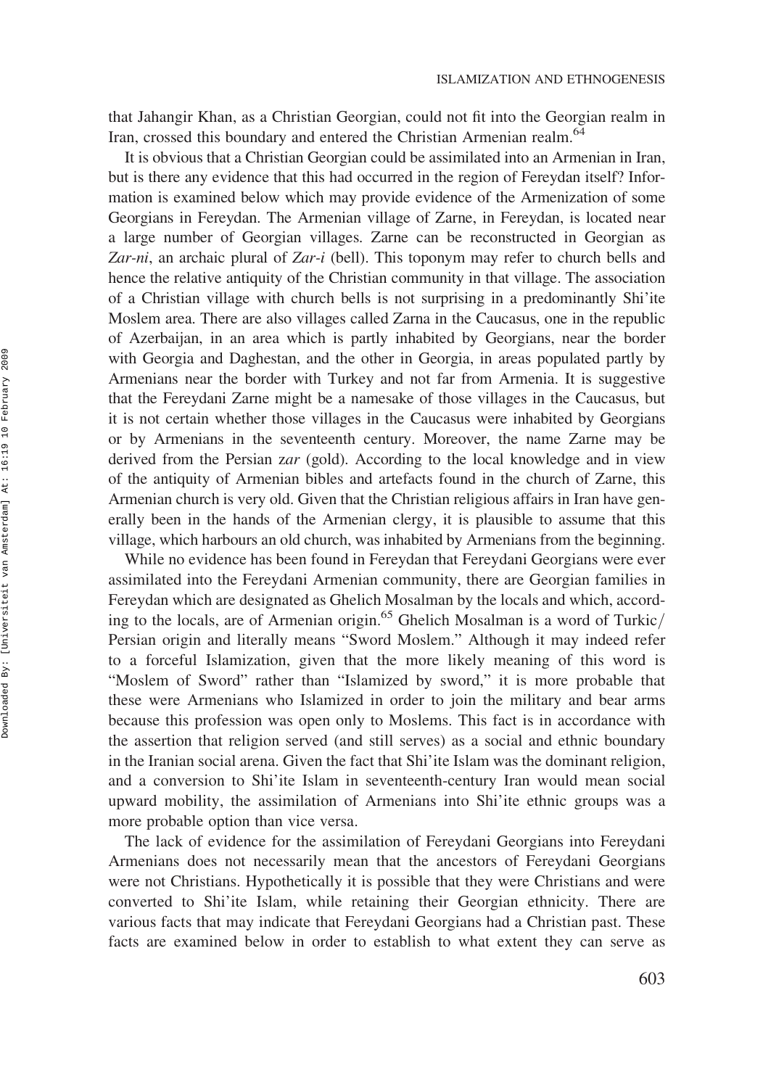that Jahangir Khan, as a Christian Georgian, could not fit into the Georgian realm in Iran, crossed this boundary and entered the Christian Armenian realm.<sup>64</sup>

It is obvious that a Christian Georgian could be assimilated into an Armenian in Iran, but is there any evidence that this had occurred in the region of Fereydan itself? Information is examined below which may provide evidence of the Armenization of some Georgians in Fereydan. The Armenian village of Zarne, in Fereydan, is located near a large number of Georgian villages. Zarne can be reconstructed in Georgian as Zar-ni, an archaic plural of Zar-i (bell). This toponym may refer to church bells and hence the relative antiquity of the Christian community in that village. The association of a Christian village with church bells is not surprising in a predominantly Shi'ite Moslem area. There are also villages called Zarna in the Caucasus, one in the republic of Azerbaijan, in an area which is partly inhabited by Georgians, near the border with Georgia and Daghestan, and the other in Georgia, in areas populated partly by Armenians near the border with Turkey and not far from Armenia. It is suggestive that the Fereydani Zarne might be a namesake of those villages in the Caucasus, but it is not certain whether those villages in the Caucasus were inhabited by Georgians or by Armenians in the seventeenth century. Moreover, the name Zarne may be derived from the Persian zar (gold). According to the local knowledge and in view of the antiquity of Armenian bibles and artefacts found in the church of Zarne, this Armenian church is very old. Given that the Christian religious affairs in Iran have generally been in the hands of the Armenian clergy, it is plausible to assume that this village, which harbours an old church, was inhabited by Armenians from the beginning.

While no evidence has been found in Fereydan that Fereydani Georgians were ever assimilated into the Fereydani Armenian community, there are Georgian families in Fereydan which are designated as Ghelich Mosalman by the locals and which, according to the locals, are of Armenian origin.<sup>65</sup> Ghelich Mosalman is a word of Turkic/ Persian origin and literally means "Sword Moslem." Although it may indeed refer to a forceful Islamization, given that the more likely meaning of this word is "Moslem of Sword" rather than "Islamized by sword," it is more probable that these were Armenians who Islamized in order to join the military and bear arms because this profession was open only to Moslems. This fact is in accordance with the assertion that religion served (and still serves) as a social and ethnic boundary in the Iranian social arena. Given the fact that Shi'ite Islam was the dominant religion, and a conversion to Shi'ite Islam in seventeenth-century Iran would mean social upward mobility, the assimilation of Armenians into Shi'ite ethnic groups was a more probable option than vice versa.

The lack of evidence for the assimilation of Fereydani Georgians into Fereydani Armenians does not necessarily mean that the ancestors of Fereydani Georgians were not Christians. Hypothetically it is possible that they were Christians and were converted to Shi'ite Islam, while retaining their Georgian ethnicity. There are various facts that may indicate that Fereydani Georgians had a Christian past. These facts are examined below in order to establish to what extent they can serve as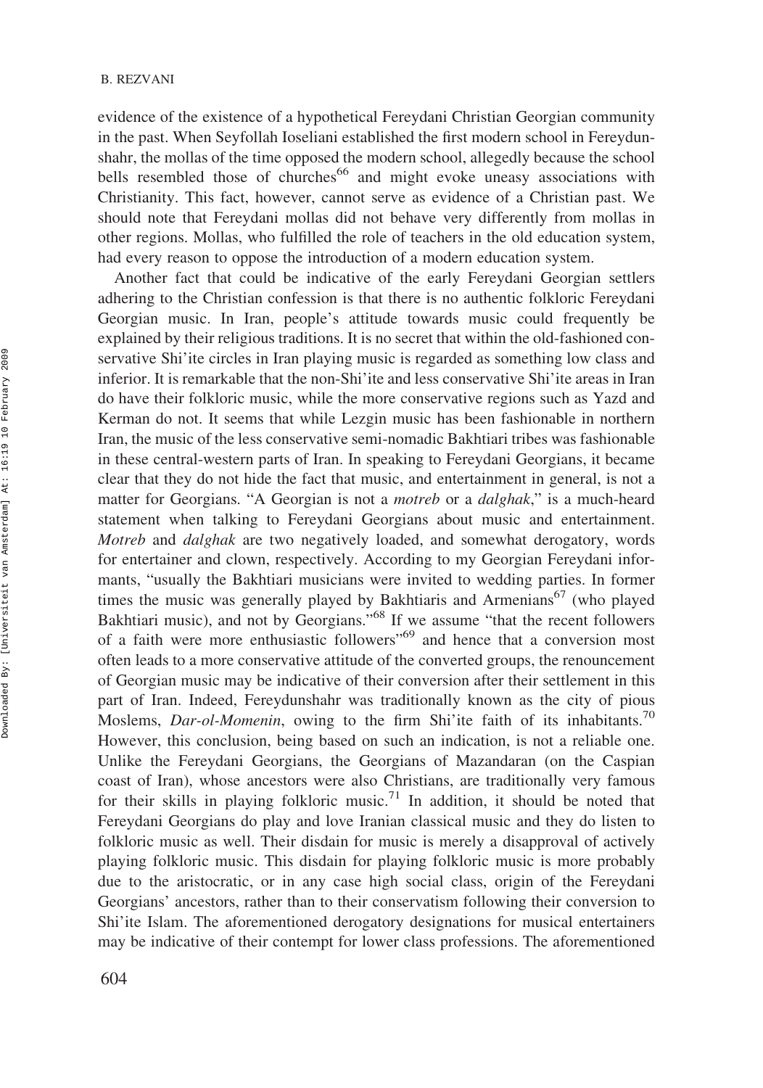evidence of the existence of a hypothetical Fereydani Christian Georgian community in the past. When Seyfollah Ioseliani established the first modern school in Fereydunshahr, the mollas of the time opposed the modern school, allegedly because the school bells resembled those of churches<sup>66</sup> and might evoke uneasy associations with Christianity. This fact, however, cannot serve as evidence of a Christian past. We should note that Fereydani mollas did not behave very differently from mollas in other regions. Mollas, who fulfilled the role of teachers in the old education system, had every reason to oppose the introduction of a modern education system.

Another fact that could be indicative of the early Fereydani Georgian settlers adhering to the Christian confession is that there is no authentic folkloric Fereydani Georgian music. In Iran, people's attitude towards music could frequently be explained by their religious traditions. It is no secret that within the old-fashioned conservative Shi'ite circles in Iran playing music is regarded as something low class and inferior. It is remarkable that the non-Shi'ite and less conservative Shi'ite areas in Iran do have their folkloric music, while the more conservative regions such as Yazd and Kerman do not. It seems that while Lezgin music has been fashionable in northern Iran, the music of the less conservative semi-nomadic Bakhtiari tribes was fashionable in these central-western parts of Iran. In speaking to Fereydani Georgians, it became clear that they do not hide the fact that music, and entertainment in general, is not a matter for Georgians. "A Georgian is not a *motreb* or a *dalghak*," is a much-heard statement when talking to Fereydani Georgians about music and entertainment. Motreb and *dalghak* are two negatively loaded, and somewhat derogatory, words for entertainer and clown, respectively. According to my Georgian Fereydani informants, "usually the Bakhtiari musicians were invited to wedding parties. In former times the music was generally played by Bakhtiaris and Armenians<sup>67</sup> (who played Bakhtiari music), and not by Georgians."<sup>68</sup> If we assume "that the recent followers of a faith were more enthusiastic followers"69 and hence that a conversion most often leads to a more conservative attitude of the converted groups, the renouncement of Georgian music may be indicative of their conversion after their settlement in this part of Iran. Indeed, Fereydunshahr was traditionally known as the city of pious Moslems, Dar-ol-Momenin, owing to the firm Shi'ite faith of its inhabitants.<sup>70</sup> However, this conclusion, being based on such an indication, is not a reliable one. Unlike the Fereydani Georgians, the Georgians of Mazandaran (on the Caspian coast of Iran), whose ancestors were also Christians, are traditionally very famous for their skills in playing folkloric music.<sup>71</sup> In addition, it should be noted that Fereydani Georgians do play and love Iranian classical music and they do listen to folkloric music as well. Their disdain for music is merely a disapproval of actively playing folkloric music. This disdain for playing folkloric music is more probably due to the aristocratic, or in any case high social class, origin of the Fereydani Georgians' ancestors, rather than to their conservatism following their conversion to Shi'ite Islam. The aforementioned derogatory designations for musical entertainers may be indicative of their contempt for lower class professions. The aforementioned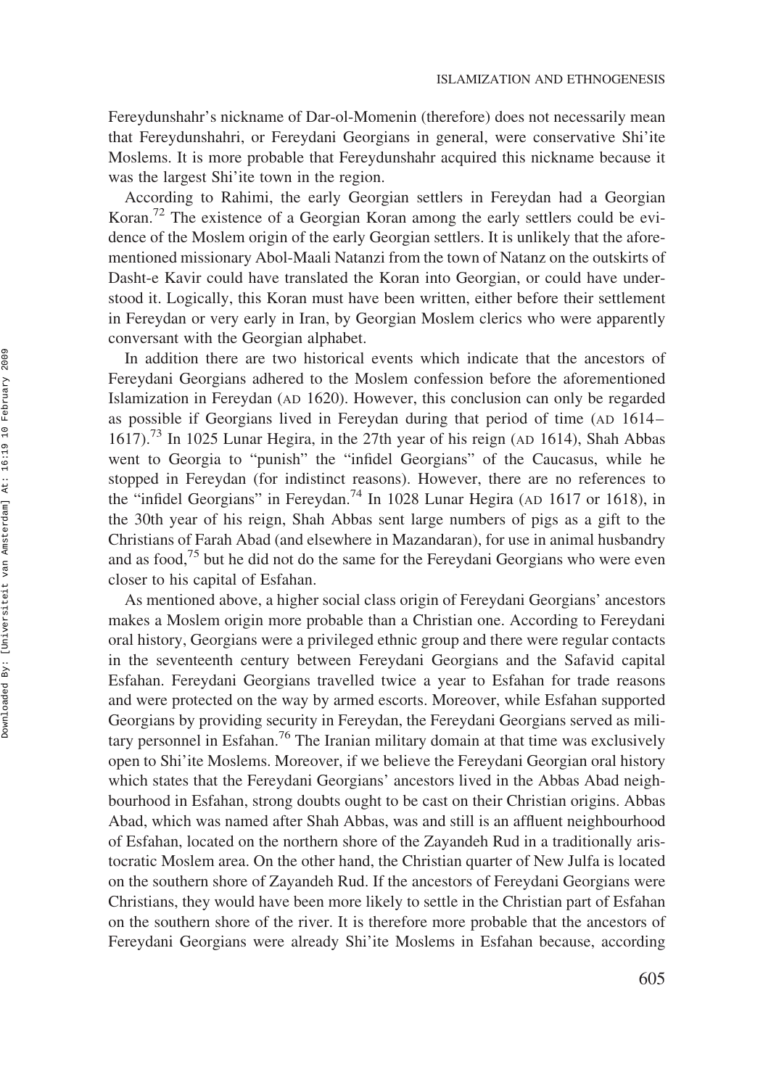Fereydunshahr's nickname of Dar-ol-Momenin (therefore) does not necessarily mean that Fereydunshahri, or Fereydani Georgians in general, were conservative Shi'ite Moslems. It is more probable that Fereydunshahr acquired this nickname because it was the largest Shi'ite town in the region.

According to Rahimi, the early Georgian settlers in Fereydan had a Georgian Koran.<sup>72</sup> The existence of a Georgian Koran among the early settlers could be evidence of the Moslem origin of the early Georgian settlers. It is unlikely that the aforementioned missionary Abol-Maali Natanzi from the town of Natanz on the outskirts of Dasht-e Kavir could have translated the Koran into Georgian, or could have understood it. Logically, this Koran must have been written, either before their settlement in Fereydan or very early in Iran, by Georgian Moslem clerics who were apparently conversant with the Georgian alphabet.

In addition there are two historical events which indicate that the ancestors of Fereydani Georgians adhered to the Moslem confession before the aforementioned Islamization in Fereydan (AD 1620). However, this conclusion can only be regarded as possible if Georgians lived in Fereydan during that period of time (AD 1614– 1617).73 In 1025 Lunar Hegira, in the 27th year of his reign (AD 1614), Shah Abbas went to Georgia to "punish" the "infidel Georgians" of the Caucasus, while he stopped in Fereydan (for indistinct reasons). However, there are no references to the "infidel Georgians" in Fereydan.<sup>74</sup> In 1028 Lunar Hegira (AD 1617 or 1618), in the 30th year of his reign, Shah Abbas sent large numbers of pigs as a gift to the Christians of Farah Abad (and elsewhere in Mazandaran), for use in animal husbandry and as food,75 but he did not do the same for the Fereydani Georgians who were even closer to his capital of Esfahan.

As mentioned above, a higher social class origin of Fereydani Georgians' ancestors makes a Moslem origin more probable than a Christian one. According to Fereydani oral history, Georgians were a privileged ethnic group and there were regular contacts in the seventeenth century between Fereydani Georgians and the Safavid capital Esfahan. Fereydani Georgians travelled twice a year to Esfahan for trade reasons and were protected on the way by armed escorts. Moreover, while Esfahan supported Georgians by providing security in Fereydan, the Fereydani Georgians served as military personnel in Esfahan.<sup>76</sup> The Iranian military domain at that time was exclusively open to Shi'ite Moslems. Moreover, if we believe the Fereydani Georgian oral history which states that the Fereydani Georgians' ancestors lived in the Abbas Abad neighbourhood in Esfahan, strong doubts ought to be cast on their Christian origins. Abbas Abad, which was named after Shah Abbas, was and still is an affluent neighbourhood of Esfahan, located on the northern shore of the Zayandeh Rud in a traditionally aristocratic Moslem area. On the other hand, the Christian quarter of New Julfa is located on the southern shore of Zayandeh Rud. If the ancestors of Fereydani Georgians were Christians, they would have been more likely to settle in the Christian part of Esfahan on the southern shore of the river. It is therefore more probable that the ancestors of Fereydani Georgians were already Shi'ite Moslems in Esfahan because, according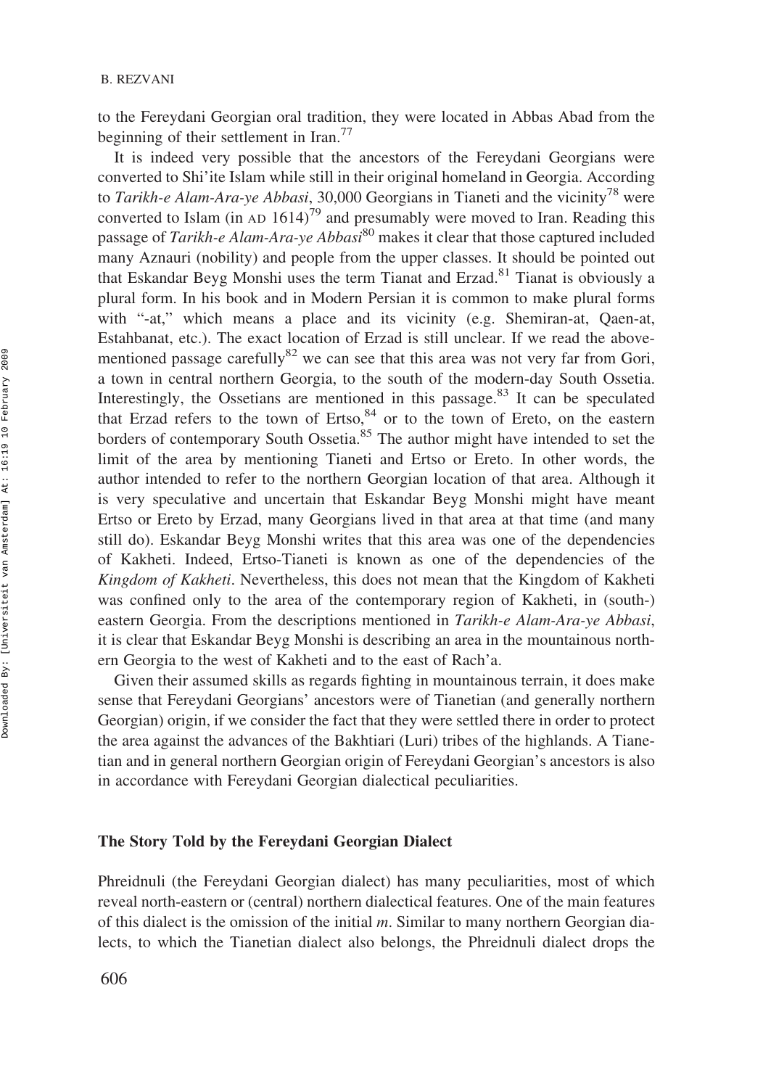to the Fereydani Georgian oral tradition, they were located in Abbas Abad from the beginning of their settlement in Iran.<sup>77</sup>

It is indeed very possible that the ancestors of the Fereydani Georgians were converted to Shi'ite Islam while still in their original homeland in Georgia. According to *Tarikh-e Alam-Ara-ye Abbasi*, 30,000 Georgians in Tianeti and the vicinity<sup>78</sup> were converted to Islam (in AD  $1614$ )<sup>79</sup> and presumably were moved to Iran. Reading this passage of Tarikh-e Alam-Ara-ye Abbasi<sup>80</sup> makes it clear that those captured included many Aznauri (nobility) and people from the upper classes. It should be pointed out that Eskandar Beyg Monshi uses the term Tianat and Erzad.<sup>81</sup> Tianat is obviously a plural form. In his book and in Modern Persian it is common to make plural forms with "-at," which means a place and its vicinity (e.g. Shemiran-at, Qaen-at, Estahbanat, etc.). The exact location of Erzad is still unclear. If we read the abovementioned passage carefully<sup>82</sup> we can see that this area was not very far from Gori, a town in central northern Georgia, to the south of the modern-day South Ossetia. Interestingly, the Ossetians are mentioned in this passage. $83$  It can be speculated that Erzad refers to the town of Ertso,  $84$  or to the town of Ereto, on the eastern borders of contemporary South Ossetia.<sup>85</sup> The author might have intended to set the limit of the area by mentioning Tianeti and Ertso or Ereto. In other words, the author intended to refer to the northern Georgian location of that area. Although it is very speculative and uncertain that Eskandar Beyg Monshi might have meant Ertso or Ereto by Erzad, many Georgians lived in that area at that time (and many still do). Eskandar Beyg Monshi writes that this area was one of the dependencies of Kakheti. Indeed, Ertso-Tianeti is known as one of the dependencies of the Kingdom of Kakheti. Nevertheless, this does not mean that the Kingdom of Kakheti was confined only to the area of the contemporary region of Kakheti, in (south-) eastern Georgia. From the descriptions mentioned in Tarikh-e Alam-Ara-ye Abbasi, it is clear that Eskandar Beyg Monshi is describing an area in the mountainous northern Georgia to the west of Kakheti and to the east of Rach'a.

Given their assumed skills as regards fighting in mountainous terrain, it does make sense that Fereydani Georgians' ancestors were of Tianetian (and generally northern Georgian) origin, if we consider the fact that they were settled there in order to protect the area against the advances of the Bakhtiari (Luri) tribes of the highlands. A Tianetian and in general northern Georgian origin of Fereydani Georgian's ancestors is also in accordance with Fereydani Georgian dialectical peculiarities.

### The Story Told by the Fereydani Georgian Dialect

Phreidnuli (the Fereydani Georgian dialect) has many peculiarities, most of which reveal north-eastern or (central) northern dialectical features. One of the main features of this dialect is the omission of the initial m. Similar to many northern Georgian dialects, to which the Tianetian dialect also belongs, the Phreidnuli dialect drops the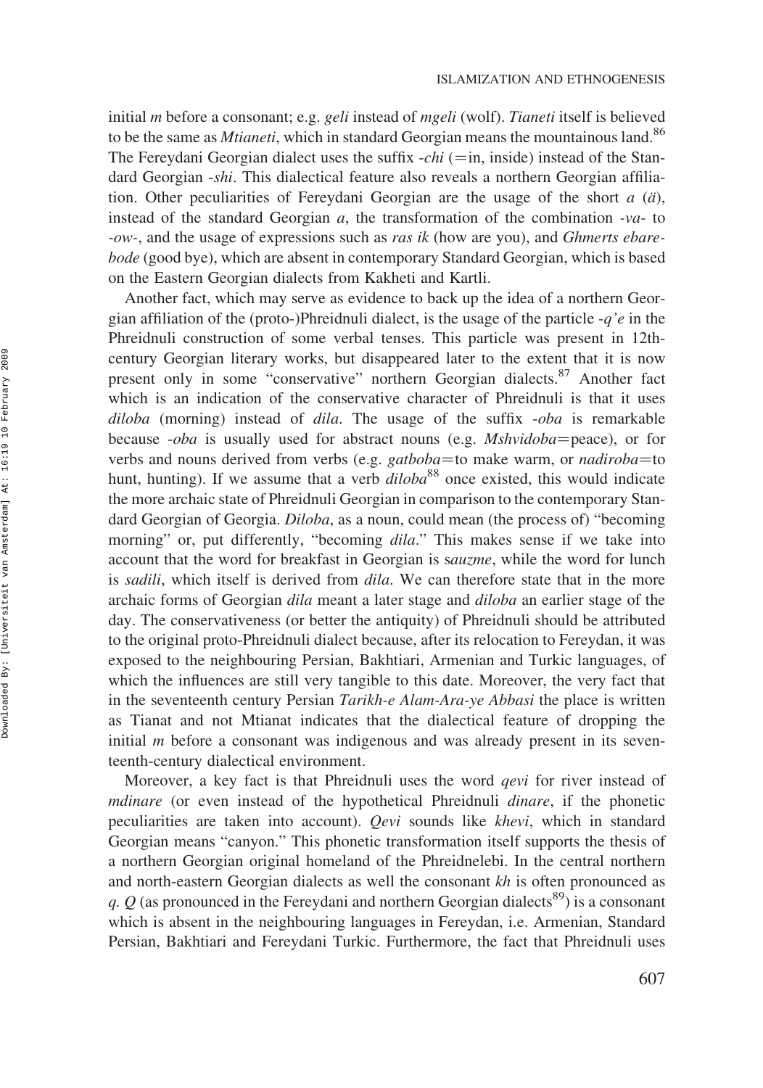initial m before a consonant; e.g. *geli* instead of mgeli (wolf). Tianeti itself is believed to be the same as *Mtianeti*, which in standard Georgian means the mountainous land.<sup>86</sup> The Fereydani Georgian dialect uses the suffix  $-chi (=in, inside)$  instead of the Standard Georgian -shi. This dialectical feature also reveals a northern Georgian affiliation. Other peculiarities of Fereydani Georgian are the usage of the short  $a(\ddot{a})$ , instead of the standard Georgian a, the transformation of the combination  $-\nu a$ -to -ow-, and the usage of expressions such as ras ik (how are you), and Ghmerts ebarebode (good bye), which are absent in contemporary Standard Georgian, which is based on the Eastern Georgian dialects from Kakheti and Kartli.

Another fact, which may serve as evidence to back up the idea of a northern Georgian affiliation of the (proto-)Phreidnuli dialect, is the usage of the particle  $-q'e$  in the Phreidnuli construction of some verbal tenses. This particle was present in 12thcentury Georgian literary works, but disappeared later to the extent that it is now present only in some "conservative" northern Georgian dialects.<sup>87</sup> Another fact which is an indication of the conservative character of Phreidnuli is that it uses diloba (morning) instead of dila. The usage of the suffix -oba is remarkable because  $-oba$  is usually used for abstract nouns (e.g. *Mshvidoba*=peace), or for verbs and nouns derived from verbs (e.g. *gatboba*=to make warm, or *nadiroba*=to hunt, hunting). If we assume that a verb  $diloba^{88}$  once existed, this would indicate the more archaic state of Phreidnuli Georgian in comparison to the contemporary Standard Georgian of Georgia. *Diloba*, as a noun, could mean (the process of) "becoming morning" or, put differently, "becoming *dila*." This makes sense if we take into account that the word for breakfast in Georgian is sauzme, while the word for lunch is *sadili*, which itself is derived from *dila*. We can therefore state that in the more archaic forms of Georgian dila meant a later stage and diloba an earlier stage of the day. The conservativeness (or better the antiquity) of Phreidnuli should be attributed to the original proto-Phreidnuli dialect because, after its relocation to Fereydan, it was exposed to the neighbouring Persian, Bakhtiari, Armenian and Turkic languages, of which the influences are still very tangible to this date. Moreover, the very fact that in the seventeenth century Persian Tarikh-e Alam-Ara-ye Abbasi the place is written as Tianat and not Mtianat indicates that the dialectical feature of dropping the initial  $m$  before a consonant was indigenous and was already present in its seventeenth-century dialectical environment.

Moreover, a key fact is that Phreidnuli uses the word *qevi* for river instead of mdinare (or even instead of the hypothetical Phreidnuli *dinare*, if the phonetic peculiarities are taken into account). Qevi sounds like khevi, which in standard Georgian means "canyon." This phonetic transformation itself supports the thesis of a northern Georgian original homeland of the Phreidnelebi. In the central northern and north-eastern Georgian dialects as well the consonant kh is often pronounced as q.  $Q$  (as pronounced in the Fereydani and northern Georgian dialects<sup>89</sup>) is a consonant which is absent in the neighbouring languages in Fereydan, i.e. Armenian, Standard Persian, Bakhtiari and Fereydani Turkic. Furthermore, the fact that Phreidnuli uses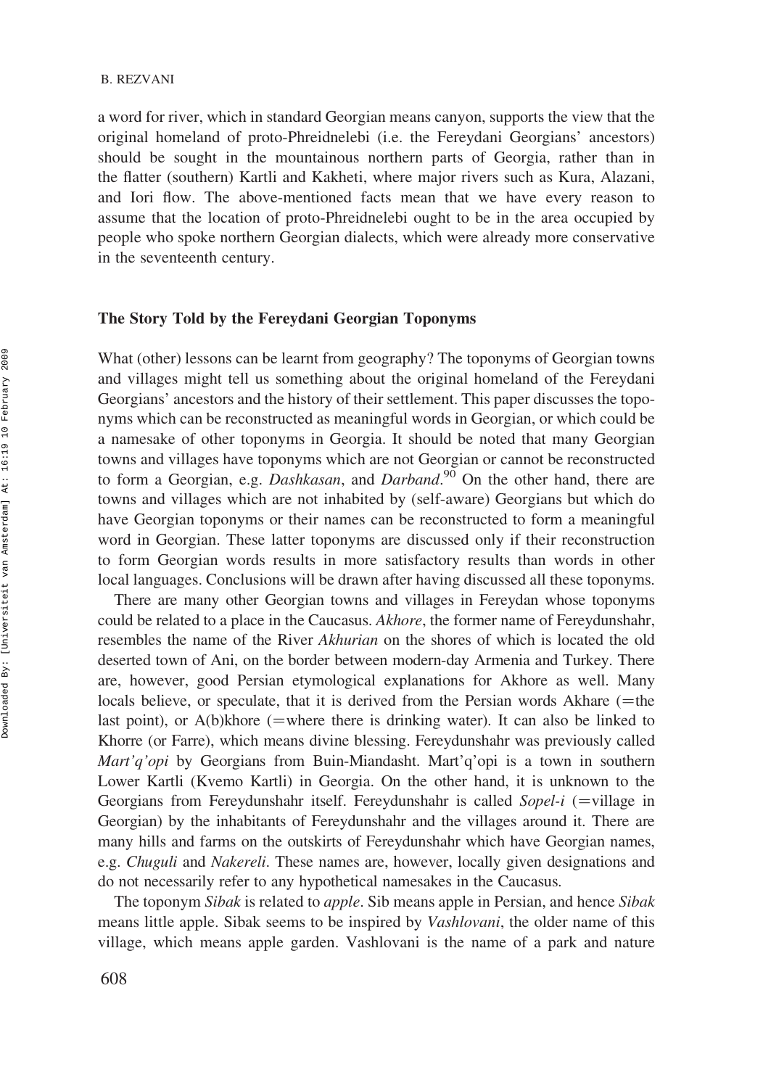a word for river, which in standard Georgian means canyon, supports the view that the original homeland of proto-Phreidnelebi (i.e. the Fereydani Georgians' ancestors) should be sought in the mountainous northern parts of Georgia, rather than in the flatter (southern) Kartli and Kakheti, where major rivers such as Kura, Alazani, and Iori flow. The above-mentioned facts mean that we have every reason to assume that the location of proto-Phreidnelebi ought to be in the area occupied by people who spoke northern Georgian dialects, which were already more conservative in the seventeenth century.

### The Story Told by the Fereydani Georgian Toponyms

What (other) lessons can be learnt from geography? The toponyms of Georgian towns and villages might tell us something about the original homeland of the Fereydani Georgians' ancestors and the history of their settlement. This paper discusses the toponyms which can be reconstructed as meaningful words in Georgian, or which could be a namesake of other toponyms in Georgia. It should be noted that many Georgian towns and villages have toponyms which are not Georgian or cannot be reconstructed to form a Georgian, e.g. *Dashkasan*, and *Darband*.<sup>90</sup> On the other hand, there are towns and villages which are not inhabited by (self-aware) Georgians but which do have Georgian toponyms or their names can be reconstructed to form a meaningful word in Georgian. These latter toponyms are discussed only if their reconstruction to form Georgian words results in more satisfactory results than words in other local languages. Conclusions will be drawn after having discussed all these toponyms.

There are many other Georgian towns and villages in Fereydan whose toponyms could be related to a place in the Caucasus. Akhore, the former name of Fereydunshahr, resembles the name of the River *Akhurian* on the shores of which is located the old deserted town of Ani, on the border between modern-day Armenia and Turkey. There are, however, good Persian etymological explanations for Akhore as well. Many locals believe, or speculate, that it is derived from the Persian words Akhare  $(=$ the last point), or  $A(b)$ khore (=where there is drinking water). It can also be linked to Khorre (or Farre), which means divine blessing. Fereydunshahr was previously called Mart'q'opi by Georgians from Buin-Miandasht. Mart'q'opi is a town in southern Lower Kartli (Kvemo Kartli) in Georgia. On the other hand, it is unknown to the Georgians from Fereydunshahr itself. Fereydunshahr is called *Sopel-i* (=village in Georgian) by the inhabitants of Fereydunshahr and the villages around it. There are many hills and farms on the outskirts of Fereydunshahr which have Georgian names, e.g. Chuguli and Nakereli. These names are, however, locally given designations and do not necessarily refer to any hypothetical namesakes in the Caucasus.

The toponym Sibak is related to *apple*. Sib means apple in Persian, and hence Sibak means little apple. Sibak seems to be inspired by *Vashlovani*, the older name of this village, which means apple garden. Vashlovani is the name of a park and nature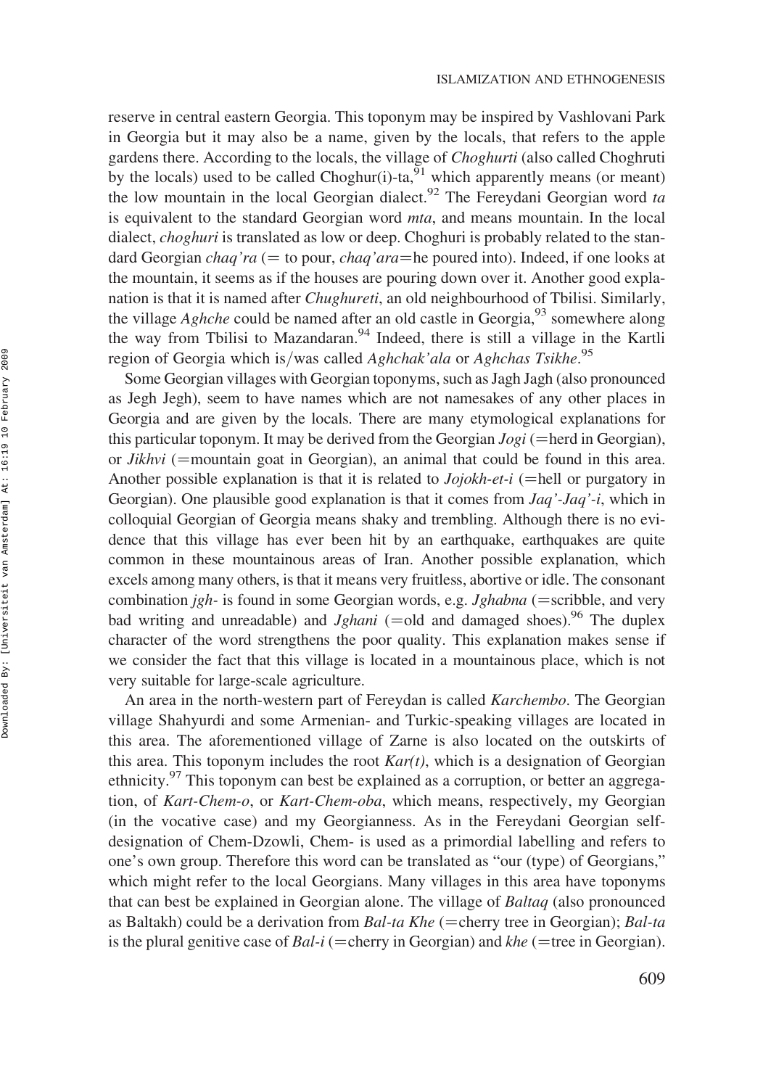reserve in central eastern Georgia. This toponym may be inspired by Vashlovani Park in Georgia but it may also be a name, given by the locals, that refers to the apple gardens there. According to the locals, the village of Choghurti (also called Choghruti by the locals) used to be called Choghur(i)-ta, $91$  which apparently means (or meant) the low mountain in the local Georgian dialect.<sup>92</sup> The Fereydani Georgian word ta is equivalent to the standard Georgian word *mta*, and means mountain. In the local dialect, choghuri is translated as low or deep. Choghuri is probably related to the standard Georgian *chaq'ra* ( $=$  to pour, *chaq'ara* $=$ he poured into). Indeed, if one looks at the mountain, it seems as if the houses are pouring down over it. Another good explanation is that it is named after *Chughureti*, an old neighbourhood of Tbilisi. Similarly, the village *Aghche* could be named after an old castle in Georgia,  $^{93}$  somewhere along the way from Tbilisi to Mazandaran.<sup>94</sup> Indeed, there is still a village in the Kartli region of Georgia which is/was called Aghchak'ala or Aghchas Tsikhe.<sup>95</sup>

Some Georgian villages with Georgian toponyms, such as Jagh Jagh (also pronounced as Jegh Jegh), seem to have names which are not namesakes of any other places in Georgia and are given by the locals. There are many etymological explanations for this particular toponym. It may be derived from the Georgian  $Jogi$  (=herd in Georgian), or *Jikhvi* ( $=$ mountain goat in Georgian), an animal that could be found in this area. Another possible explanation is that it is related to *Jojokh-et-i* ( $=$ hell or purgatory in Georgian). One plausible good explanation is that it comes from  $Jaq'$ - $Jaq'$ -i, which in colloquial Georgian of Georgia means shaky and trembling. Although there is no evidence that this village has ever been hit by an earthquake, earthquakes are quite common in these mountainous areas of Iran. Another possible explanation, which excels among many others, is that it means very fruitless, abortive or idle. The consonant combination jgh- is found in some Georgian words, e.g.  $Jghabna$  (=scribble, and very bad writing and unreadable) and *Jghani* (=old and damaged shoes).<sup>96</sup> The duplex character of the word strengthens the poor quality. This explanation makes sense if we consider the fact that this village is located in a mountainous place, which is not very suitable for large-scale agriculture.

An area in the north-western part of Fereydan is called *Karchembo*. The Georgian village Shahyurdi and some Armenian- and Turkic-speaking villages are located in this area. The aforementioned village of Zarne is also located on the outskirts of this area. This toponym includes the root  $Kar(t)$ , which is a designation of Georgian ethnicity.<sup>97</sup> This toponym can best be explained as a corruption, or better an aggregation, of Kart-Chem-o, or Kart-Chem-oba, which means, respectively, my Georgian (in the vocative case) and my Georgianness. As in the Fereydani Georgian selfdesignation of Chem-Dzowli, Chem- is used as a primordial labelling and refers to one's own group. Therefore this word can be translated as "our (type) of Georgians," which might refer to the local Georgians. Many villages in this area have toponyms that can best be explained in Georgian alone. The village of Baltaq (also pronounced as Baltakh) could be a derivation from Bal-ta Khe (=cherry tree in Georgian); Bal-ta is the plural genitive case of *Bal-i* (=cherry in Georgian) and *khe* (=tree in Georgian).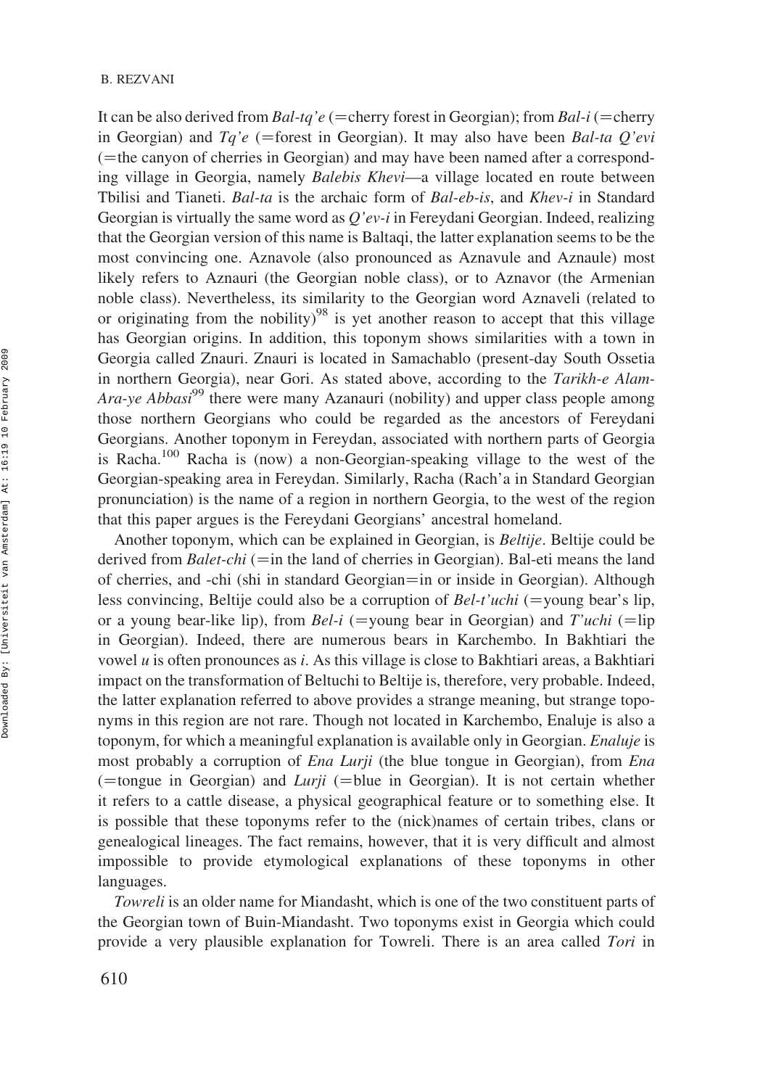It can be also derived from Bal-tq'e (=cherry forest in Georgian); from Bal- $i$  (=cherry in Georgian) and  $Tq'e$  (=forest in Georgian). It may also have been Bal-ta Q'evi  $($ =the canyon of cherries in Georgian) and may have been named after a corresponding village in Georgia, namely *Balebis Khevi*—a village located en route between Tbilisi and Tianeti. Bal-ta is the archaic form of Bal-eb-is, and Khev-i in Standard Georgian is virtually the same word as  $O'ev-i$  in Fereydani Georgian. Indeed, realizing that the Georgian version of this name is Baltaqi, the latter explanation seems to be the most convincing one. Aznavole (also pronounced as Aznavule and Aznaule) most likely refers to Aznauri (the Georgian noble class), or to Aznavor (the Armenian noble class). Nevertheless, its similarity to the Georgian word Aznaveli (related to or originating from the nobility)<sup>98</sup> is yet another reason to accept that this village has Georgian origins. In addition, this toponym shows similarities with a town in Georgia called Znauri. Znauri is located in Samachablo (present-day South Ossetia in northern Georgia), near Gori. As stated above, according to the Tarikh-e Alam-*Ara-ye Abbasi*<sup>99</sup> there were many Azanauri (nobility) and upper class people among those northern Georgians who could be regarded as the ancestors of Fereydani Georgians. Another toponym in Fereydan, associated with northern parts of Georgia is Racha.100 Racha is (now) a non-Georgian-speaking village to the west of the Georgian-speaking area in Fereydan. Similarly, Racha (Rach'a in Standard Georgian pronunciation) is the name of a region in northern Georgia, to the west of the region that this paper argues is the Fereydani Georgians' ancestral homeland.

Another toponym, which can be explained in Georgian, is Beltije. Beltije could be derived from *Balet-chi* ( $=$ in the land of cherries in Georgian). Bal-eti means the land of cherries, and -chi (shi in standard Georgian=in or inside in Georgian). Although less convincing, Beltije could also be a corruption of  $Bel-t'uchi$  (=young bear's lip, or a young bear-like lip), from Bel-i (=young bear in Georgian) and T'uchi (=lip in Georgian). Indeed, there are numerous bears in Karchembo. In Bakhtiari the vowel  $u$  is often pronounces as  $i$ . As this village is close to Bakhtiari areas, a Bakhtiari impact on the transformation of Beltuchi to Beltije is, therefore, very probable. Indeed, the latter explanation referred to above provides a strange meaning, but strange toponyms in this region are not rare. Though not located in Karchembo, Enaluje is also a toponym, for which a meaningful explanation is available only in Georgian. Enaluje is most probably a corruption of *Ena Lurji* (the blue tongue in Georgian), from *Ena* (=tongue in Georgian) and Lurji (=blue in Georgian). It is not certain whether it refers to a cattle disease, a physical geographical feature or to something else. It is possible that these toponyms refer to the (nick)names of certain tribes, clans or genealogical lineages. The fact remains, however, that it is very difficult and almost impossible to provide etymological explanations of these toponyms in other languages.

Towreli is an older name for Miandasht, which is one of the two constituent parts of the Georgian town of Buin-Miandasht. Two toponyms exist in Georgia which could provide a very plausible explanation for Towreli. There is an area called Tori in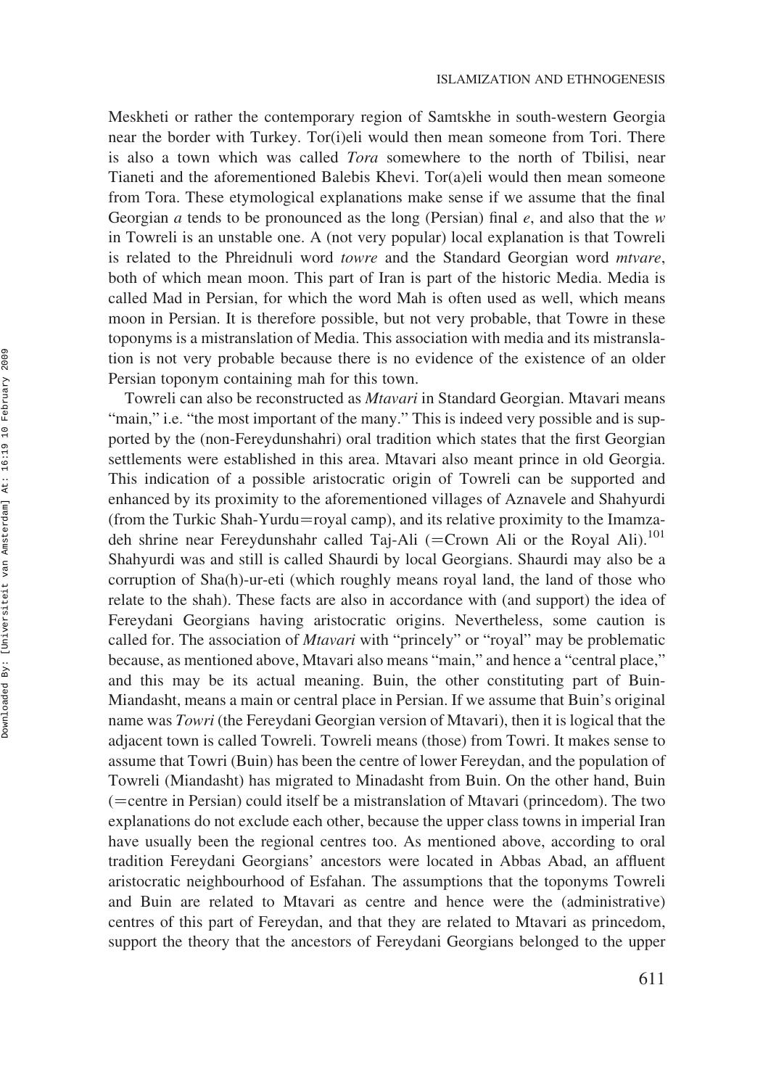Meskheti or rather the contemporary region of Samtskhe in south-western Georgia near the border with Turkey. Tor(i)eli would then mean someone from Tori. There is also a town which was called *Tora* somewhere to the north of Tbilisi, near Tianeti and the aforementioned Balebis Khevi. Tor(a)eli would then mean someone from Tora. These etymological explanations make sense if we assume that the final Georgian a tends to be pronounced as the long (Persian) final  $e$ , and also that the w in Towreli is an unstable one. A (not very popular) local explanation is that Towreli is related to the Phreidnuli word *towre* and the Standard Georgian word *mtvare*, both of which mean moon. This part of Iran is part of the historic Media. Media is called Mad in Persian, for which the word Mah is often used as well, which means moon in Persian. It is therefore possible, but not very probable, that Towre in these toponyms is a mistranslation of Media. This association with media and its mistranslation is not very probable because there is no evidence of the existence of an older Persian toponym containing mah for this town.

Towreli can also be reconstructed as Mtavari in Standard Georgian. Mtavari means "main," i.e. "the most important of the many." This is indeed very possible and is supported by the (non-Fereydunshahri) oral tradition which states that the first Georgian settlements were established in this area. Mtavari also meant prince in old Georgia. This indication of a possible aristocratic origin of Towreli can be supported and enhanced by its proximity to the aforementioned villages of Aznavele and Shahyurdi (from the Turkic Shah-Yurdu=royal camp), and its relative proximity to the Imamzadeh shrine near Fereydunshahr called Taj-Ali (=Crown Ali or the Royal Ali).<sup>101</sup> Shahyurdi was and still is called Shaurdi by local Georgians. Shaurdi may also be a corruption of Sha(h)-ur-eti (which roughly means royal land, the land of those who relate to the shah). These facts are also in accordance with (and support) the idea of Fereydani Georgians having aristocratic origins. Nevertheless, some caution is called for. The association of *Mtavari* with "princely" or "royal" may be problematic because, as mentioned above, Mtavari also means "main," and hence a "central place," and this may be its actual meaning. Buin, the other constituting part of Buin-Miandasht, means a main or central place in Persian. If we assume that Buin's original name was Towri (the Fereydani Georgian version of Mtavari), then it is logical that the adjacent town is called Towreli. Towreli means (those) from Towri. It makes sense to assume that Towri (Buin) has been the centre of lower Fereydan, and the population of Towreli (Miandasht) has migrated to Minadasht from Buin. On the other hand, Buin (= centre in Persian) could itself be a mistranslation of Mtavari (princedom). The two explanations do not exclude each other, because the upper class towns in imperial Iran have usually been the regional centres too. As mentioned above, according to oral tradition Fereydani Georgians' ancestors were located in Abbas Abad, an affluent aristocratic neighbourhood of Esfahan. The assumptions that the toponyms Towreli and Buin are related to Mtavari as centre and hence were the (administrative) centres of this part of Fereydan, and that they are related to Mtavari as princedom, support the theory that the ancestors of Fereydani Georgians belonged to the upper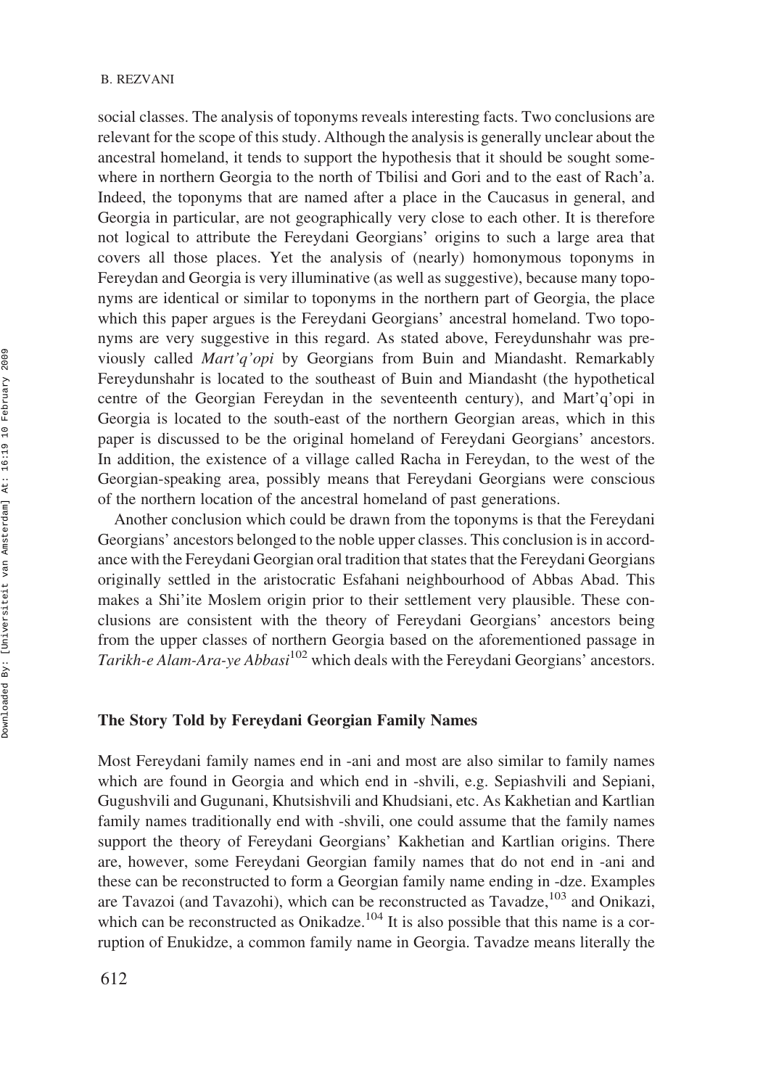social classes. The analysis of toponyms reveals interesting facts. Two conclusions are relevant for the scope of this study. Although the analysis is generally unclear about the ancestral homeland, it tends to support the hypothesis that it should be sought somewhere in northern Georgia to the north of Tbilisi and Gori and to the east of Rach'a. Indeed, the toponyms that are named after a place in the Caucasus in general, and Georgia in particular, are not geographically very close to each other. It is therefore not logical to attribute the Fereydani Georgians' origins to such a large area that covers all those places. Yet the analysis of (nearly) homonymous toponyms in Fereydan and Georgia is very illuminative (as well as suggestive), because many toponyms are identical or similar to toponyms in the northern part of Georgia, the place which this paper argues is the Fereydani Georgians' ancestral homeland. Two toponyms are very suggestive in this regard. As stated above, Fereydunshahr was previously called Mart'q'opi by Georgians from Buin and Miandasht. Remarkably Fereydunshahr is located to the southeast of Buin and Miandasht (the hypothetical centre of the Georgian Fereydan in the seventeenth century), and Mart'q'opi in Georgia is located to the south-east of the northern Georgian areas, which in this paper is discussed to be the original homeland of Fereydani Georgians' ancestors. In addition, the existence of a village called Racha in Fereydan, to the west of the Georgian-speaking area, possibly means that Fereydani Georgians were conscious of the northern location of the ancestral homeland of past generations.

Another conclusion which could be drawn from the toponyms is that the Fereydani Georgians' ancestors belonged to the noble upper classes. This conclusion is in accordance with the Fereydani Georgian oral tradition that states that the Fereydani Georgians originally settled in the aristocratic Esfahani neighbourhood of Abbas Abad. This makes a Shi'ite Moslem origin prior to their settlement very plausible. These conclusions are consistent with the theory of Fereydani Georgians' ancestors being from the upper classes of northern Georgia based on the aforementioned passage in Tarikh-e Alam-Ara-ye Abbasi<sup>102</sup> which deals with the Fereydani Georgians' ancestors.

## The Story Told by Fereydani Georgian Family Names

Most Fereydani family names end in -ani and most are also similar to family names which are found in Georgia and which end in -shvili, e.g. Sepiashvili and Sepiani, Gugushvili and Gugunani, Khutsishvili and Khudsiani, etc. As Kakhetian and Kartlian family names traditionally end with -shvili, one could assume that the family names support the theory of Fereydani Georgians' Kakhetian and Kartlian origins. There are, however, some Fereydani Georgian family names that do not end in -ani and these can be reconstructed to form a Georgian family name ending in -dze. Examples are Tavazoi (and Tavazohi), which can be reconstructed as Tavadze,<sup>103</sup> and Onikazi, which can be reconstructed as Onikadze.<sup>104</sup> It is also possible that this name is a corruption of Enukidze, a common family name in Georgia. Tavadze means literally the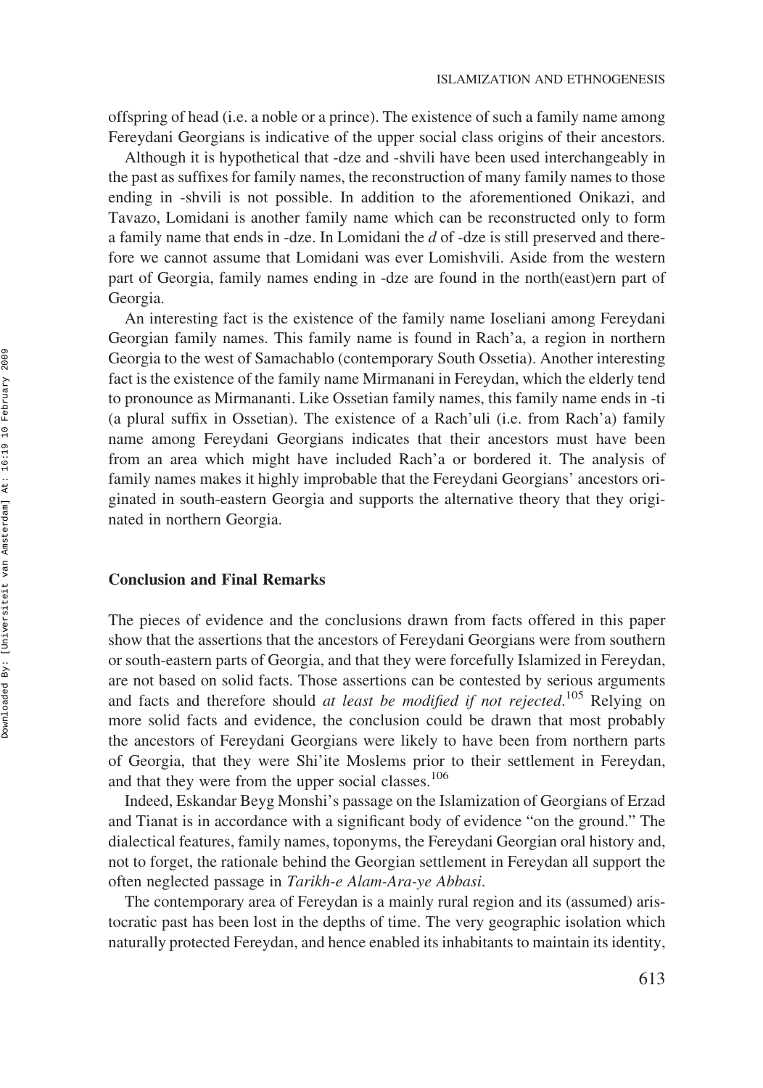offspring of head (i.e. a noble or a prince). The existence of such a family name among Fereydani Georgians is indicative of the upper social class origins of their ancestors.

Although it is hypothetical that -dze and -shvili have been used interchangeably in the past as suffixes for family names, the reconstruction of many family names to those ending in -shvili is not possible. In addition to the aforementioned Onikazi, and Tavazo, Lomidani is another family name which can be reconstructed only to form a family name that ends in -dze. In Lomidani the d of -dze is still preserved and therefore we cannot assume that Lomidani was ever Lomishvili. Aside from the western part of Georgia, family names ending in -dze are found in the north(east)ern part of Georgia.

An interesting fact is the existence of the family name Ioseliani among Fereydani Georgian family names. This family name is found in Rach'a, a region in northern Georgia to the west of Samachablo (contemporary South Ossetia). Another interesting fact is the existence of the family name Mirmanani in Fereydan, which the elderly tend to pronounce as Mirmananti. Like Ossetian family names, this family name ends in -ti (a plural suffix in Ossetian). The existence of a Rach'uli (i.e. from Rach'a) family name among Fereydani Georgians indicates that their ancestors must have been from an area which might have included Rach'a or bordered it. The analysis of family names makes it highly improbable that the Fereydani Georgians' ancestors originated in south-eastern Georgia and supports the alternative theory that they originated in northern Georgia.

#### Conclusion and Final Remarks

The pieces of evidence and the conclusions drawn from facts offered in this paper show that the assertions that the ancestors of Fereydani Georgians were from southern or south-eastern parts of Georgia, and that they were forcefully Islamized in Fereydan, are not based on solid facts. Those assertions can be contested by serious arguments and facts and therefore should at least be modified if not rejected.<sup>105</sup> Relying on more solid facts and evidence, the conclusion could be drawn that most probably the ancestors of Fereydani Georgians were likely to have been from northern parts of Georgia, that they were Shi'ite Moslems prior to their settlement in Fereydan, and that they were from the upper social classes.<sup>106</sup>

Indeed, Eskandar Beyg Monshi's passage on the Islamization of Georgians of Erzad and Tianat is in accordance with a significant body of evidence "on the ground." The dialectical features, family names, toponyms, the Fereydani Georgian oral history and, not to forget, the rationale behind the Georgian settlement in Fereydan all support the often neglected passage in Tarikh-e Alam-Ara-ye Abbasi.

The contemporary area of Fereydan is a mainly rural region and its (assumed) aristocratic past has been lost in the depths of time. The very geographic isolation which naturally protected Fereydan, and hence enabled its inhabitants to maintain its identity,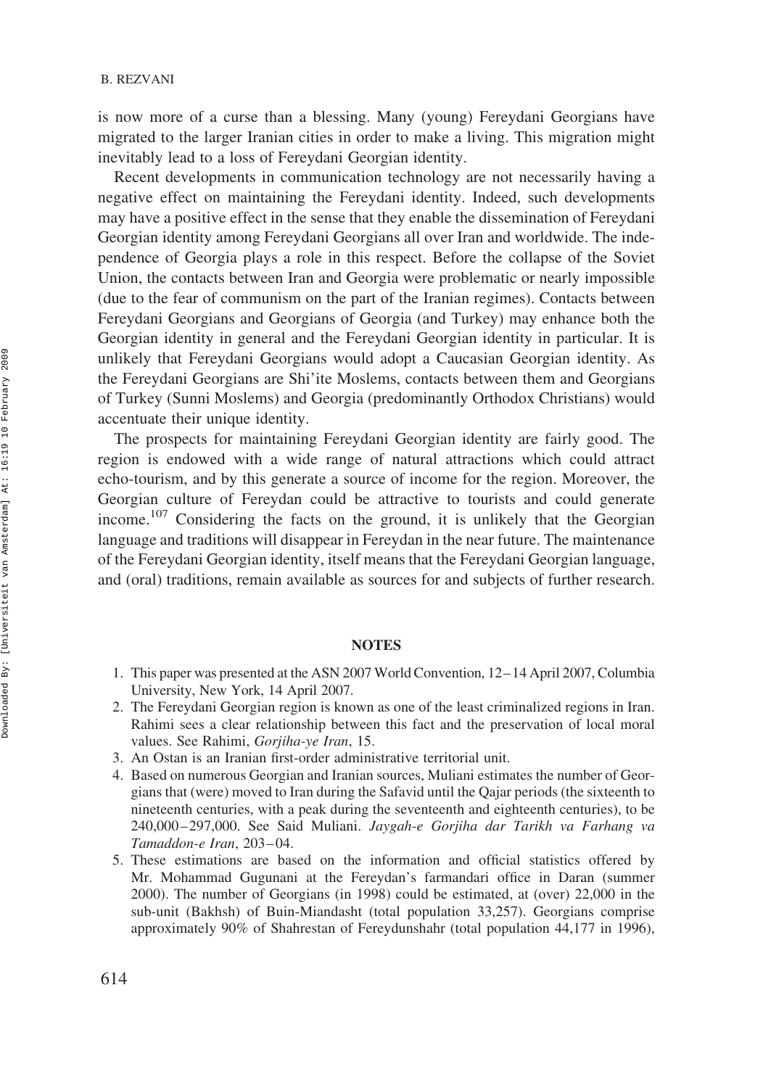is now more of a curse than a blessing. Many (young) Fereydani Georgians have migrated to the larger Iranian cities in order to make a living. This migration might inevitably lead to a loss of Fereydani Georgian identity.

Recent developments in communication technology are not necessarily having a negative effect on maintaining the Fereydani identity. Indeed, such developments may have a positive effect in the sense that they enable the dissemination of Fereydani Georgian identity among Fereydani Georgians all over Iran and worldwide. The independence of Georgia plays a role in this respect. Before the collapse of the Soviet Union, the contacts between Iran and Georgia were problematic or nearly impossible (due to the fear of communism on the part of the Iranian regimes). Contacts between Fereydani Georgians and Georgians of Georgia (and Turkey) may enhance both the Georgian identity in general and the Fereydani Georgian identity in particular. It is unlikely that Fereydani Georgians would adopt a Caucasian Georgian identity. As the Fereydani Georgians are Shi'ite Moslems, contacts between them and Georgians of Turkey (Sunni Moslems) and Georgia (predominantly Orthodox Christians) would accentuate their unique identity.

The prospects for maintaining Fereydani Georgian identity are fairly good. The region is endowed with a wide range of natural attractions which could attract echo-tourism, and by this generate a source of income for the region. Moreover, the Georgian culture of Fereydan could be attractive to tourists and could generate income.<sup>107</sup> Considering the facts on the ground, it is unlikely that the Georgian language and traditions will disappear in Fereydan in the near future. The maintenance of the Fereydani Georgian identity, itself means that the Fereydani Georgian language, and (oral) traditions, remain available as sources for and subjects of further research.

#### **NOTES**

- 1. This paper was presented at the ASN 2007 World Convention, 12–14 April 2007, Columbia University, New York, 14 April 2007.
- 2. The Fereydani Georgian region is known as one of the least criminalized regions in Iran. Rahimi sees a clear relationship between this fact and the preservation of local moral values. See Rahimi, Gorjiha-ye Iran, 15.
- 3. An Ostan is an Iranian first-order administrative territorial unit.
- 4. Based on numerous Georgian and Iranian sources, Muliani estimates the number of Georgians that (were) moved to Iran during the Safavid until the Qajar periods (the sixteenth to nineteenth centuries, with a peak during the seventeenth and eighteenth centuries), to be 240,000–297,000. See Said Muliani. Jaygah-e Gorjiha dar Tarikh va Farhang va Tamaddon-e Iran, 203–04.
- 5. These estimations are based on the information and official statistics offered by Mr. Mohammad Gugunani at the Fereydan's farmandari office in Daran (summer 2000). The number of Georgians (in 1998) could be estimated, at (over) 22,000 in the sub-unit (Bakhsh) of Buin-Miandasht (total population 33,257). Georgians comprise approximately 90% of Shahrestan of Fereydunshahr (total population 44,177 in 1996),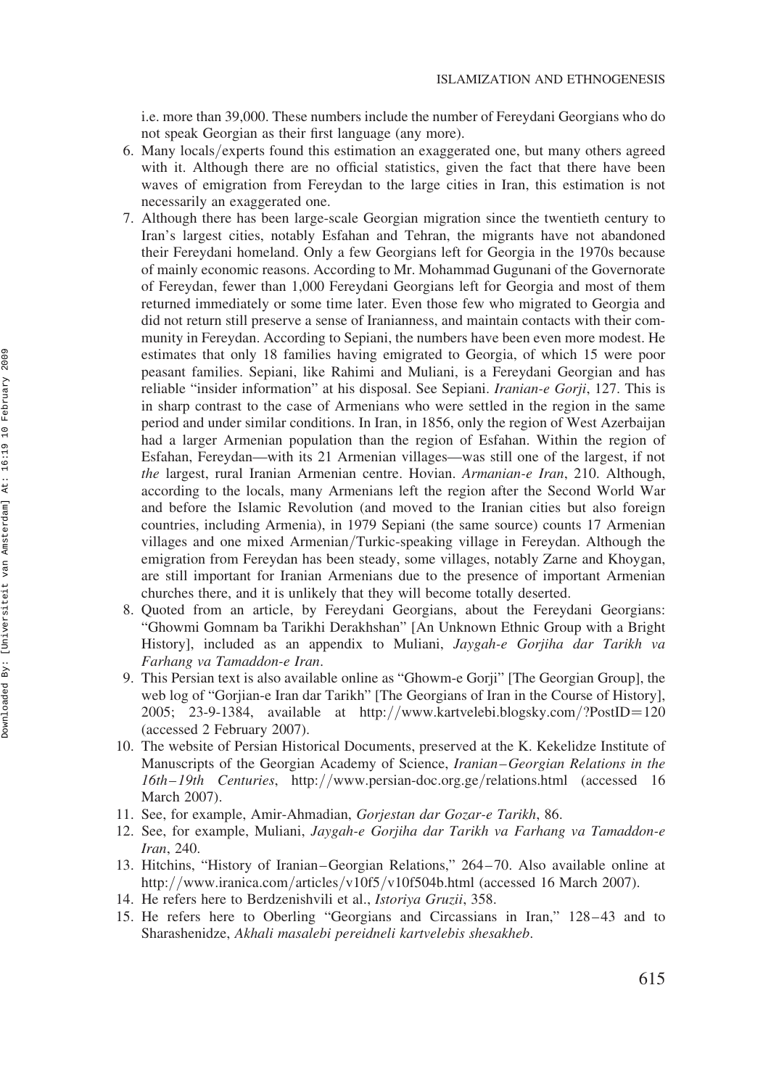i.e. more than 39,000. These numbers include the number of Fereydani Georgians who do not speak Georgian as their first language (any more).

- 6. Many locals/experts found this estimation an exaggerated one, but many others agreed with it. Although there are no official statistics, given the fact that there have been waves of emigration from Fereydan to the large cities in Iran, this estimation is not necessarily an exaggerated one.
- 7. Although there has been large-scale Georgian migration since the twentieth century to Iran's largest cities, notably Esfahan and Tehran, the migrants have not abandoned their Fereydani homeland. Only a few Georgians left for Georgia in the 1970s because of mainly economic reasons. According to Mr. Mohammad Gugunani of the Governorate of Fereydan, fewer than 1,000 Fereydani Georgians left for Georgia and most of them returned immediately or some time later. Even those few who migrated to Georgia and did not return still preserve a sense of Iranianness, and maintain contacts with their community in Fereydan. According to Sepiani, the numbers have been even more modest. He estimates that only 18 families having emigrated to Georgia, of which 15 were poor peasant families. Sepiani, like Rahimi and Muliani, is a Fereydani Georgian and has reliable "insider information" at his disposal. See Sepiani. Iranian-e Gorji, 127. This is in sharp contrast to the case of Armenians who were settled in the region in the same period and under similar conditions. In Iran, in 1856, only the region of West Azerbaijan had a larger Armenian population than the region of Esfahan. Within the region of Esfahan, Fereydan—with its 21 Armenian villages—was still one of the largest, if not the largest, rural Iranian Armenian centre. Hovian. Armanian-e Iran, 210. Although, according to the locals, many Armenians left the region after the Second World War and before the Islamic Revolution (and moved to the Iranian cities but also foreign countries, including Armenia), in 1979 Sepiani (the same source) counts 17 Armenian villages and one mixed Armenian/Turkic-speaking village in Fereydan. Although the emigration from Fereydan has been steady, some villages, notably Zarne and Khoygan, are still important for Iranian Armenians due to the presence of important Armenian churches there, and it is unlikely that they will become totally deserted.
- 8. Quoted from an article, by Fereydani Georgians, about the Fereydani Georgians: "Ghowmi Gomnam ba Tarikhi Derakhshan" [An Unknown Ethnic Group with a Bright History], included as an appendix to Muliani, Jaygah-e Gorjiha dar Tarikh va Farhang va Tamaddon-e Iran.
- 9. This Persian text is also available online as "Ghowm-e Gorji" [The Georgian Group], the web log of "Gorjian-e Iran dar Tarikh" [The Georgians of Iran in the Course of History], 2005; 23-9-1384, available at http://www.kartvelebi.blogsky.com/?PostID=120 (accessed 2 February 2007).
- 10. The website of Persian Historical Documents, preserved at the K. Kekelidze Institute of Manuscripts of the Georgian Academy of Science, Iranian–Georgian Relations in the 16th–19th Centuries, http://www.persian-doc.org.ge/relations.html (accessed 16 March 2007).
- 11. See, for example, Amir-Ahmadian, Gorjestan dar Gozar-e Tarikh, 86.
- 12. See, for example, Muliani, Jaygah-e Gorjiha dar Tarikh va Farhang va Tamaddon-e Iran, 240.
- 13. Hitchins, "History of Iranian–Georgian Relations," 264–70. Also available online at http://www.iranica.com/articles/v10f5/v10f504b.html (accessed 16 March 2007).
- 14. He refers here to Berdzenishvili et al., Istoriya Gruzii, 358.
- 15. He refers here to Oberling "Georgians and Circassians in Iran," 128–43 and to Sharashenidze, Akhali masalebi pereidneli kartvelebis shesakheb.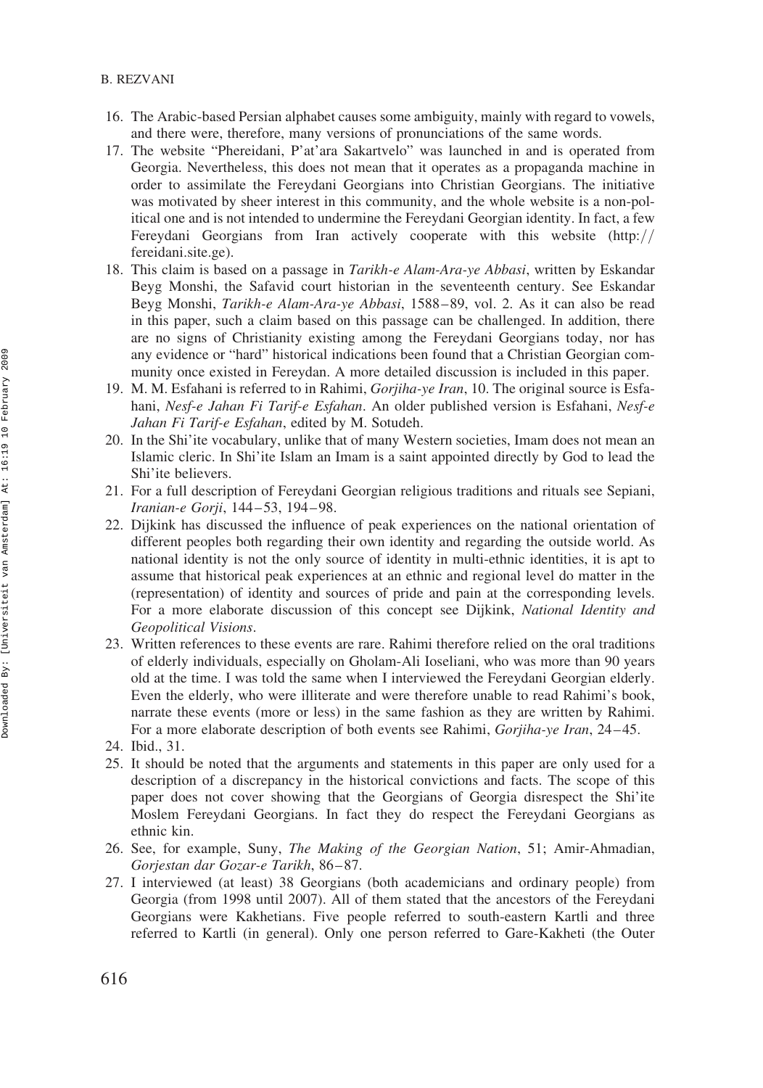- 16. The Arabic-based Persian alphabet causes some ambiguity, mainly with regard to vowels, and there were, therefore, many versions of pronunciations of the same words.
- 17. The website "Phereidani, P'at'ara Sakartvelo" was launched in and is operated from Georgia. Nevertheless, this does not mean that it operates as a propaganda machine in order to assimilate the Fereydani Georgians into Christian Georgians. The initiative was motivated by sheer interest in this community, and the whole website is a non-political one and is not intended to undermine the Fereydani Georgian identity. In fact, a few Fereydani Georgians from Iran actively cooperate with this website (http:// fereidani.site.ge).
- 18. This claim is based on a passage in *Tarikh-e Alam-Ara-ye Abbasi*, written by Eskandar Beyg Monshi, the Safavid court historian in the seventeenth century. See Eskandar Beyg Monshi, Tarikh-e Alam-Ara-ye Abbasi, 1588–89, vol. 2. As it can also be read in this paper, such a claim based on this passage can be challenged. In addition, there are no signs of Christianity existing among the Fereydani Georgians today, nor has any evidence or "hard" historical indications been found that a Christian Georgian community once existed in Fereydan. A more detailed discussion is included in this paper.
- 19. M. M. Esfahani is referred to in Rahimi, Gorjiha-ye Iran, 10. The original source is Esfahani, Nesf-e Jahan Fi Tarif-e Esfahan. An older published version is Esfahani, Nesf-e Jahan Fi Tarif-e Esfahan, edited by M. Sotudeh.
- 20. In the Shi'ite vocabulary, unlike that of many Western societies, Imam does not mean an Islamic cleric. In Shi'ite Islam an Imam is a saint appointed directly by God to lead the Shi'ite believers.
- 21. For a full description of Fereydani Georgian religious traditions and rituals see Sepiani, Iranian-e Gorji, 144–53, 194–98.
- 22. Dijkink has discussed the influence of peak experiences on the national orientation of different peoples both regarding their own identity and regarding the outside world. As national identity is not the only source of identity in multi-ethnic identities, it is apt to assume that historical peak experiences at an ethnic and regional level do matter in the (representation) of identity and sources of pride and pain at the corresponding levels. For a more elaborate discussion of this concept see Dijkink, National Identity and Geopolitical Visions.
- 23. Written references to these events are rare. Rahimi therefore relied on the oral traditions of elderly individuals, especially on Gholam-Ali Ioseliani, who was more than 90 years old at the time. I was told the same when I interviewed the Fereydani Georgian elderly. Even the elderly, who were illiterate and were therefore unable to read Rahimi's book, narrate these events (more or less) in the same fashion as they are written by Rahimi. For a more elaborate description of both events see Rahimi, Gorjiha-ye Iran, 24–45.
- 24. Ibid., 31.
- 25. It should be noted that the arguments and statements in this paper are only used for a description of a discrepancy in the historical convictions and facts. The scope of this paper does not cover showing that the Georgians of Georgia disrespect the Shi'ite Moslem Fereydani Georgians. In fact they do respect the Fereydani Georgians as ethnic kin.
- 26. See, for example, Suny, The Making of the Georgian Nation, 51; Amir-Ahmadian, Gorjestan dar Gozar-e Tarikh, 86–87.
- 27. I interviewed (at least) 38 Georgians (both academicians and ordinary people) from Georgia (from 1998 until 2007). All of them stated that the ancestors of the Fereydani Georgians were Kakhetians. Five people referred to south-eastern Kartli and three referred to Kartli (in general). Only one person referred to Gare-Kakheti (the Outer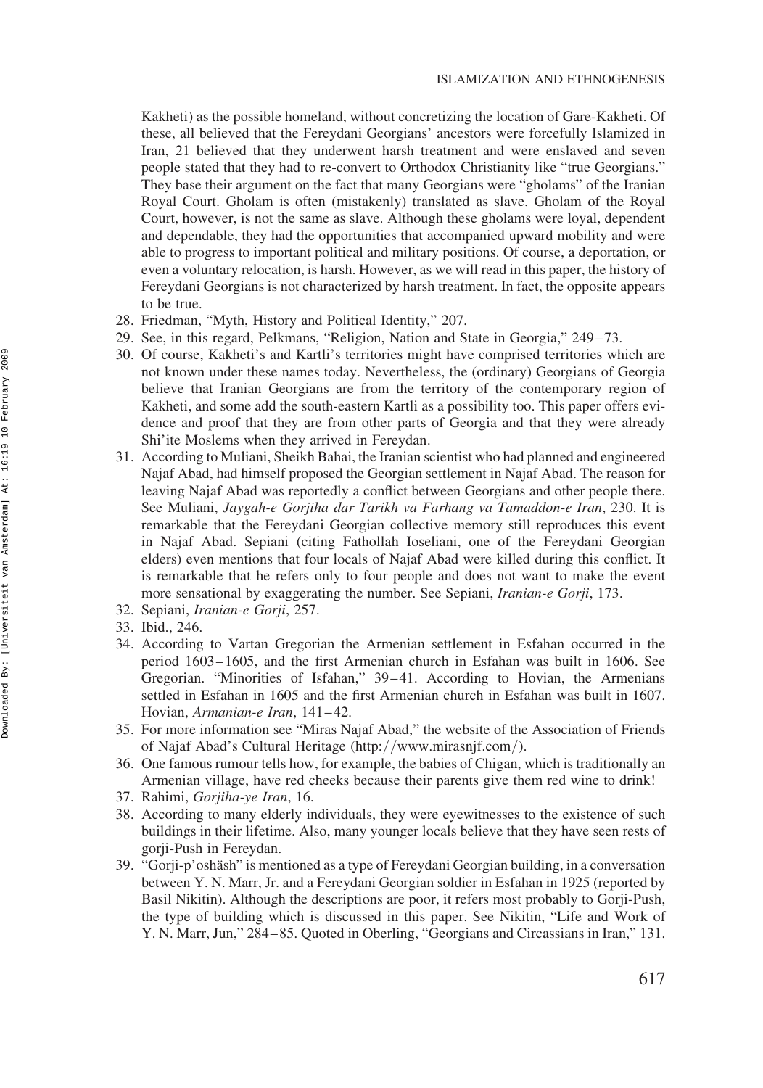Kakheti) as the possible homeland, without concretizing the location of Gare-Kakheti. Of these, all believed that the Fereydani Georgians' ancestors were forcefully Islamized in Iran, 21 believed that they underwent harsh treatment and were enslaved and seven people stated that they had to re-convert to Orthodox Christianity like "true Georgians." They base their argument on the fact that many Georgians were "gholams" of the Iranian Royal Court. Gholam is often (mistakenly) translated as slave. Gholam of the Royal Court, however, is not the same as slave. Although these gholams were loyal, dependent and dependable, they had the opportunities that accompanied upward mobility and were able to progress to important political and military positions. Of course, a deportation, or even a voluntary relocation, is harsh. However, as we will read in this paper, the history of Fereydani Georgians is not characterized by harsh treatment. In fact, the opposite appears to be true.

- 28. Friedman, "Myth, History and Political Identity," 207.
- 29. See, in this regard, Pelkmans, "Religion, Nation and State in Georgia," 249–73.
- 30. Of course, Kakheti's and Kartli's territories might have comprised territories which are not known under these names today. Nevertheless, the (ordinary) Georgians of Georgia believe that Iranian Georgians are from the territory of the contemporary region of Kakheti, and some add the south-eastern Kartli as a possibility too. This paper offers evidence and proof that they are from other parts of Georgia and that they were already Shi'ite Moslems when they arrived in Fereydan.
- 31. According to Muliani, Sheikh Bahai, the Iranian scientist who had planned and engineered Najaf Abad, had himself proposed the Georgian settlement in Najaf Abad. The reason for leaving Najaf Abad was reportedly a conflict between Georgians and other people there. See Muliani, Jaygah-e Gorjiha dar Tarikh va Farhang va Tamaddon-e Iran, 230. It is remarkable that the Fereydani Georgian collective memory still reproduces this event in Najaf Abad. Sepiani (citing Fathollah Ioseliani, one of the Fereydani Georgian elders) even mentions that four locals of Najaf Abad were killed during this conflict. It is remarkable that he refers only to four people and does not want to make the event more sensational by exaggerating the number. See Sepiani, Iranian-e Gorji, 173.
- 32. Sepiani, Iranian-e Gorji, 257.
- 33. Ibid., 246.
- 34. According to Vartan Gregorian the Armenian settlement in Esfahan occurred in the period 1603–1605, and the first Armenian church in Esfahan was built in 1606. See Gregorian. "Minorities of Isfahan," 39–41. According to Hovian, the Armenians settled in Esfahan in 1605 and the first Armenian church in Esfahan was built in 1607. Hovian, Armanian-e Iran, 141–42.
- 35. For more information see "Miras Najaf Abad," the website of the Association of Friends of Najaf Abad's Cultural Heritage (http://www.mirasnjf.com/).
- 36. One famous rumour tells how, for example, the babies of Chigan, which is traditionally an Armenian village, have red cheeks because their parents give them red wine to drink!
- 37. Rahimi, Gorjiha-ye Iran, 16.
- 38. According to many elderly individuals, they were eyewitnesses to the existence of such buildings in their lifetime. Also, many younger locals believe that they have seen rests of gorji-Push in Fereydan.
- 39. "Gorji-p'oshäsh" is mentioned as a type of Fereydani Georgian building, in a conversation between Y. N. Marr, Jr. and a Fereydani Georgian soldier in Esfahan in 1925 (reported by Basil Nikitin). Although the descriptions are poor, it refers most probably to Gorji-Push, the type of building which is discussed in this paper. See Nikitin, "Life and Work of Y. N. Marr, Jun," 284–85. Quoted in Oberling, "Georgians and Circassians in Iran," 131.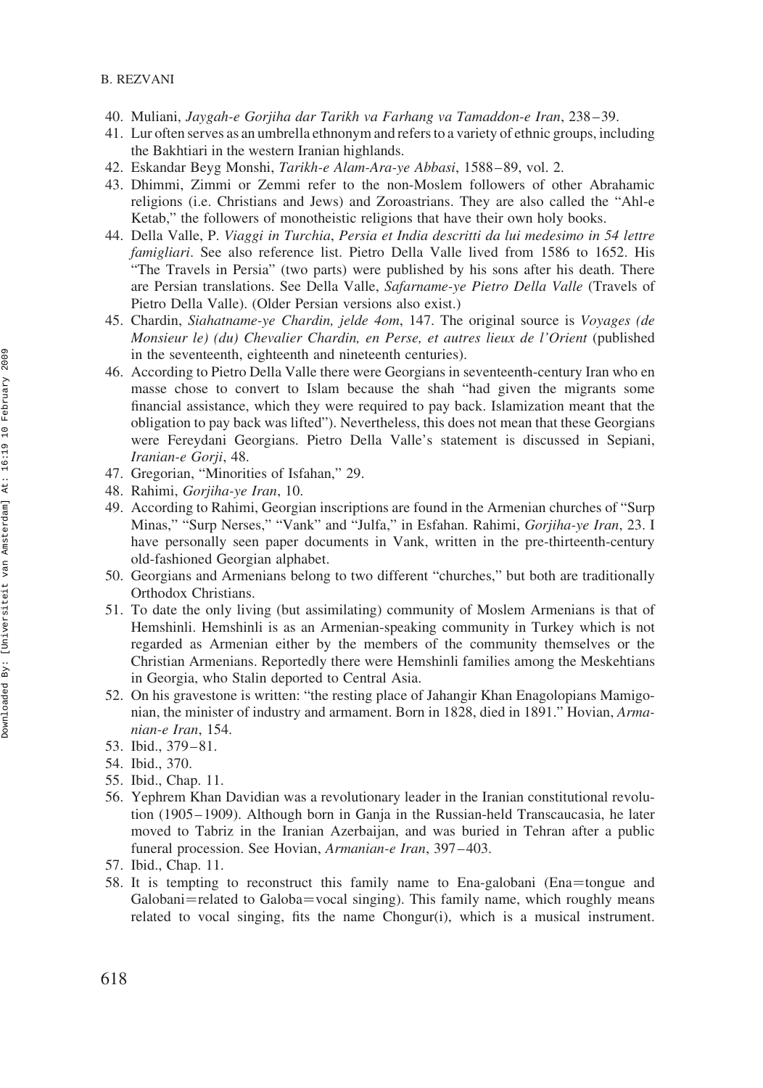- 40. Muliani, Jaygah-e Gorjiha dar Tarikh va Farhang va Tamaddon-e Iran, 238–39.
- 41. Lur often serves as an umbrella ethnonym and refers to a variety of ethnic groups, including the Bakhtiari in the western Iranian highlands.
- 42. Eskandar Beyg Monshi, Tarikh-e Alam-Ara-ye Abbasi, 1588–89, vol. 2.
- 43. Dhimmi, Zimmi or Zemmi refer to the non-Moslem followers of other Abrahamic religions (i.e. Christians and Jews) and Zoroastrians. They are also called the "Ahl-e Ketab," the followers of monotheistic religions that have their own holy books.
- 44. Della Valle, P. Viaggi in Turchia, Persia et India descritti da lui medesimo in 54 lettre famigliari. See also reference list. Pietro Della Valle lived from 1586 to 1652. His "The Travels in Persia" (two parts) were published by his sons after his death. There are Persian translations. See Della Valle, Safarname-ye Pietro Della Valle (Travels of Pietro Della Valle). (Older Persian versions also exist.)
- 45. Chardin, Siahatname-ye Chardin, jelde 4om, 147. The original source is Voyages (de Monsieur le) (du) Chevalier Chardin, en Perse, et autres lieux de l'Orient (published in the seventeenth, eighteenth and nineteenth centuries).
- 46. According to Pietro Della Valle there were Georgians in seventeenth-century Iran who en masse chose to convert to Islam because the shah "had given the migrants some financial assistance, which they were required to pay back. Islamization meant that the obligation to pay back was lifted"). Nevertheless, this does not mean that these Georgians were Fereydani Georgians. Pietro Della Valle's statement is discussed in Sepiani, Iranian-e Gorji, 48.
- 47. Gregorian, "Minorities of Isfahan," 29.
- 48. Rahimi, Gorjiha-ye Iran, 10.
- 49. According to Rahimi, Georgian inscriptions are found in the Armenian churches of "Surp Minas," "Surp Nerses," "Vank" and "Julfa," in Esfahan. Rahimi, Gorjiha-ye Iran, 23. I have personally seen paper documents in Vank, written in the pre-thirteenth-century old-fashioned Georgian alphabet.
- 50. Georgians and Armenians belong to two different "churches," but both are traditionally Orthodox Christians.
- 51. To date the only living (but assimilating) community of Moslem Armenians is that of Hemshinli. Hemshinli is as an Armenian-speaking community in Turkey which is not regarded as Armenian either by the members of the community themselves or the Christian Armenians. Reportedly there were Hemshinli families among the Meskehtians in Georgia, who Stalin deported to Central Asia.
- 52. On his gravestone is written: "the resting place of Jahangir Khan Enagolopians Mamigonian, the minister of industry and armament. Born in 1828, died in 1891." Hovian, Armanian-e Iran, 154.
- 53. Ibid., 379–81.
- 54. Ibid., 370.
- 55. Ibid., Chap. 11.
- 56. Yephrem Khan Davidian was a revolutionary leader in the Iranian constitutional revolution (1905–1909). Although born in Ganja in the Russian-held Transcaucasia, he later moved to Tabriz in the Iranian Azerbaijan, and was buried in Tehran after a public funeral procession. See Hovian, Armanian-e Iran, 397–403.
- 57. Ibid., Chap. 11.
- 58. It is tempting to reconstruct this family name to Ena-galobani (Ena=tongue and Galobani=related to Galoba=vocal singing). This family name, which roughly means related to vocal singing, fits the name Chongur(i), which is a musical instrument.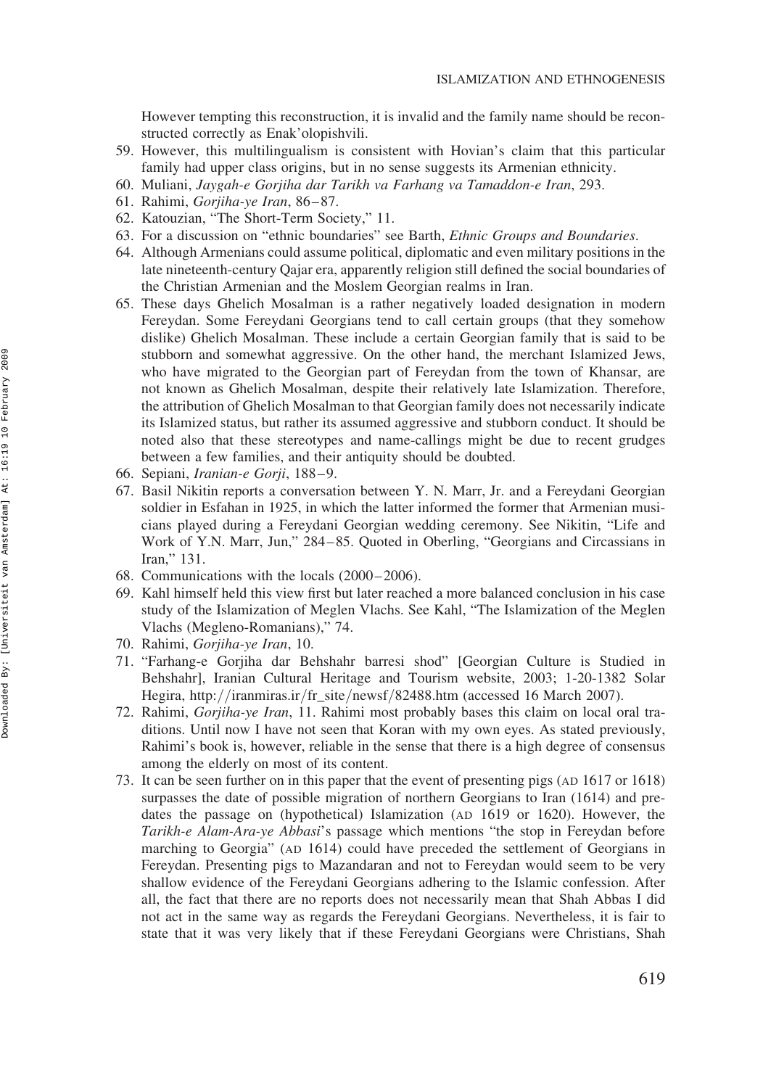However tempting this reconstruction, it is invalid and the family name should be reconstructed correctly as Enak'olopishvili.

- 59. However, this multilingualism is consistent with Hovian's claim that this particular family had upper class origins, but in no sense suggests its Armenian ethnicity.
- 60. Muliani, Jaygah-e Gorjiha dar Tarikh va Farhang va Tamaddon-e Iran, 293.
- 61. Rahimi, Gorjiha-ye Iran, 86–87.
- 62. Katouzian, "The Short-Term Society," 11.
- 63. For a discussion on "ethnic boundaries" see Barth, Ethnic Groups and Boundaries.
- 64. Although Armenians could assume political, diplomatic and even military positions in the late nineteenth-century Qajar era, apparently religion still defined the social boundaries of the Christian Armenian and the Moslem Georgian realms in Iran.
- 65. These days Ghelich Mosalman is a rather negatively loaded designation in modern Fereydan. Some Fereydani Georgians tend to call certain groups (that they somehow dislike) Ghelich Mosalman. These include a certain Georgian family that is said to be stubborn and somewhat aggressive. On the other hand, the merchant Islamized Jews, who have migrated to the Georgian part of Fereydan from the town of Khansar, are not known as Ghelich Mosalman, despite their relatively late Islamization. Therefore, the attribution of Ghelich Mosalman to that Georgian family does not necessarily indicate its Islamized status, but rather its assumed aggressive and stubborn conduct. It should be noted also that these stereotypes and name-callings might be due to recent grudges between a few families, and their antiquity should be doubted.
- 66. Sepiani, Iranian-e Gorji, 188–9.
- 67. Basil Nikitin reports a conversation between Y. N. Marr, Jr. and a Fereydani Georgian soldier in Esfahan in 1925, in which the latter informed the former that Armenian musicians played during a Fereydani Georgian wedding ceremony. See Nikitin, "Life and Work of Y.N. Marr, Jun," 284–85. Quoted in Oberling, "Georgians and Circassians in Iran," 131.
- 68. Communications with the locals (2000–2006).
- 69. Kahl himself held this view first but later reached a more balanced conclusion in his case study of the Islamization of Meglen Vlachs. See Kahl, "The Islamization of the Meglen Vlachs (Megleno-Romanians)," 74.
- 70. Rahimi, Gorjiha-ye Iran, 10.
- 71. "Farhang-e Gorjiha dar Behshahr barresi shod" [Georgian Culture is Studied in Behshahr], Iranian Cultural Heritage and Tourism website, 2003; 1-20-1382 Solar Hegira, http://iranmiras.ir/fr\_site/newsf/82488.htm (accessed 16 March 2007).
- 72. Rahimi, Gorjiha-ye Iran, 11. Rahimi most probably bases this claim on local oral traditions. Until now I have not seen that Koran with my own eyes. As stated previously, Rahimi's book is, however, reliable in the sense that there is a high degree of consensus among the elderly on most of its content.
- 73. It can be seen further on in this paper that the event of presenting pigs (AD 1617 or 1618) surpasses the date of possible migration of northern Georgians to Iran (1614) and predates the passage on (hypothetical) Islamization (AD 1619 or 1620). However, the Tarikh-e Alam-Ara-ye Abbasi's passage which mentions "the stop in Fereydan before marching to Georgia" (AD 1614) could have preceded the settlement of Georgians in Fereydan. Presenting pigs to Mazandaran and not to Fereydan would seem to be very shallow evidence of the Fereydani Georgians adhering to the Islamic confession. After all, the fact that there are no reports does not necessarily mean that Shah Abbas I did not act in the same way as regards the Fereydani Georgians. Nevertheless, it is fair to state that it was very likely that if these Fereydani Georgians were Christians, Shah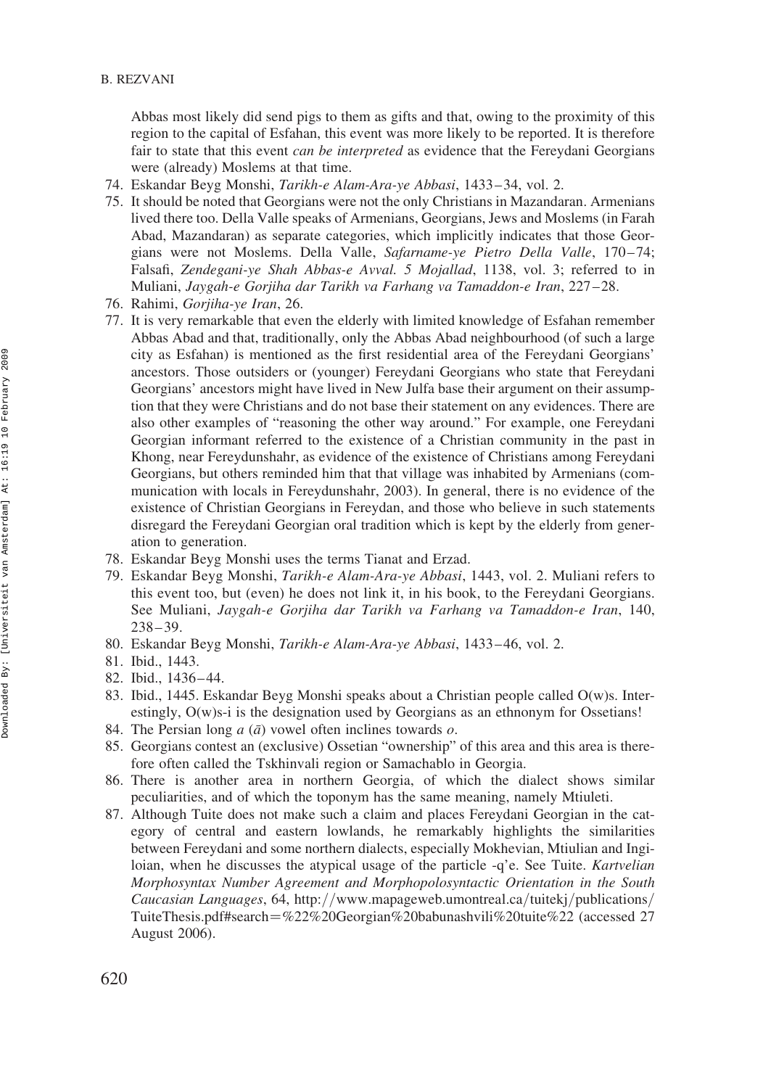Abbas most likely did send pigs to them as gifts and that, owing to the proximity of this region to the capital of Esfahan, this event was more likely to be reported. It is therefore fair to state that this event *can be interpreted* as evidence that the Fereydani Georgians were (already) Moslems at that time.

- 74. Eskandar Beyg Monshi, Tarikh-e Alam-Ara-ye Abbasi, 1433–34, vol. 2.
- 75. It should be noted that Georgians were not the only Christians in Mazandaran. Armenians lived there too. Della Valle speaks of Armenians, Georgians, Jews and Moslems (in Farah Abad, Mazandaran) as separate categories, which implicitly indicates that those Georgians were not Moslems. Della Valle, Safarname-ye Pietro Della Valle, 170–74; Falsafi, Zendegani-ye Shah Abbas-e Avval. 5 Mojallad, 1138, vol. 3; referred to in Muliani, Jaygah-e Gorjiha dar Tarikh va Farhang va Tamaddon-e Iran, 227–28.
- 76. Rahimi, Gorjiha-ye Iran, 26.
- 77. It is very remarkable that even the elderly with limited knowledge of Esfahan remember Abbas Abad and that, traditionally, only the Abbas Abad neighbourhood (of such a large city as Esfahan) is mentioned as the first residential area of the Fereydani Georgians' ancestors. Those outsiders or (younger) Fereydani Georgians who state that Fereydani Georgians' ancestors might have lived in New Julfa base their argument on their assumption that they were Christians and do not base their statement on any evidences. There are also other examples of "reasoning the other way around." For example, one Fereydani Georgian informant referred to the existence of a Christian community in the past in Khong, near Fereydunshahr, as evidence of the existence of Christians among Fereydani Georgians, but others reminded him that that village was inhabited by Armenians (communication with locals in Fereydunshahr, 2003). In general, there is no evidence of the existence of Christian Georgians in Fereydan, and those who believe in such statements disregard the Fereydani Georgian oral tradition which is kept by the elderly from generation to generation.
- 78. Eskandar Beyg Monshi uses the terms Tianat and Erzad.
- 79. Eskandar Beyg Monshi, Tarikh-e Alam-Ara-ye Abbasi, 1443, vol. 2. Muliani refers to this event too, but (even) he does not link it, in his book, to the Fereydani Georgians. See Muliani, Jaygah-e Gorjiha dar Tarikh va Farhang va Tamaddon-e Iran, 140, 238–39.
- 80. Eskandar Beyg Monshi, Tarikh-e Alam-Ara-ye Abbasi, 1433–46, vol. 2.
- 81. Ibid., 1443.
- 82. Ibid., 1436–44.
- 83. Ibid., 1445. Eskandar Beyg Monshi speaks about a Christian people called O(w)s. Interestingly, O(w)s-i is the designation used by Georgians as an ethnonym for Ossetians!
- 84. The Persian long  $a(\bar{a})$  vowel often inclines towards  $o$ .
- 85. Georgians contest an (exclusive) Ossetian "ownership" of this area and this area is therefore often called the Tskhinvali region or Samachablo in Georgia.
- 86. There is another area in northern Georgia, of which the dialect shows similar peculiarities, and of which the toponym has the same meaning, namely Mtiuleti.
- 87. Although Tuite does not make such a claim and places Fereydani Georgian in the category of central and eastern lowlands, he remarkably highlights the similarities between Fereydani and some northern dialects, especially Mokhevian, Mtiulian and Ingiloian, when he discusses the atypical usage of the particle -q'e. See Tuite. *Kartvelian* Morphosyntax Number Agreement and Morphopolosyntactic Orientation in the South Caucasian Languages, 64, http://www.mapageweb.umontreal.ca/tuitekj/publications/ TuiteThesis.pdf#search=%22%20Georgian%20babunashvili%20tuite%22 (accessed 27 August 2006).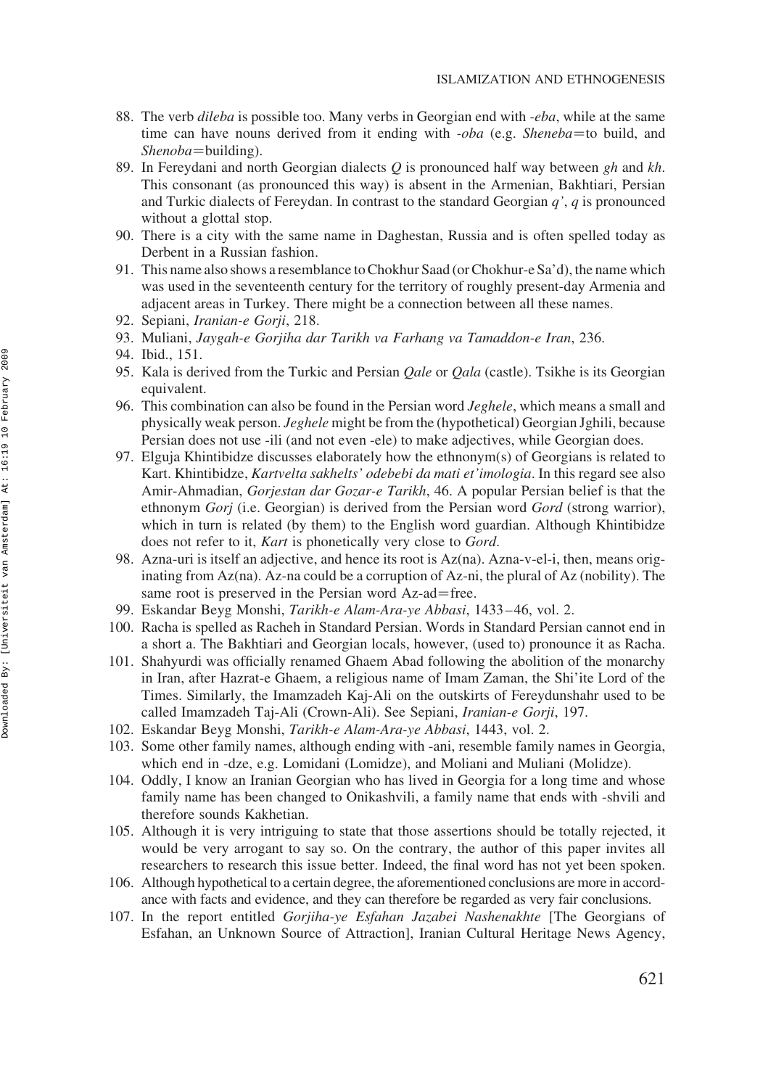- 88. The verb *dileba* is possible too. Many verbs in Georgian end with -eba, while at the same time can have nouns derived from it ending with  $-oba$  (e.g. *Sheneba*=to build, and  $Shenoba = building$ ).
- 89. In Fereydani and north Georgian dialects  $Q$  is pronounced half way between gh and kh. This consonant (as pronounced this way) is absent in the Armenian, Bakhtiari, Persian and Turkic dialects of Fereydan. In contrast to the standard Georgian  $q'$ ,  $q$  is pronounced without a glottal stop.
- 90. There is a city with the same name in Daghestan, Russia and is often spelled today as Derbent in a Russian fashion.
- 91. This name also shows a resemblance to Chokhur Saad (or Chokhur-e Sa'd), the name which was used in the seventeenth century for the territory of roughly present-day Armenia and adjacent areas in Turkey. There might be a connection between all these names.
- 92. Sepiani, Iranian-e Gorji, 218.
- 93. Muliani, Jaygah-e Gorjiha dar Tarikh va Farhang va Tamaddon-e Iran, 236.
- 94. Ibid., 151.
- 95. Kala is derived from the Turkic and Persian *Qale* or *Qala* (castle). Tsikhe is its Georgian equivalent.
- 96. This combination can also be found in the Persian word Jeghele, which means a small and physically weak person. Jeghele might be from the (hypothetical) Georgian Jghili, because Persian does not use -ili (and not even -ele) to make adjectives, while Georgian does.
- 97. Elguja Khintibidze discusses elaborately how the ethnonym(s) of Georgians is related to Kart. Khintibidze, Kartvelta sakhelts' odebebi da mati et'imologia. In this regard see also Amir-Ahmadian, Gorjestan dar Gozar-e Tarikh, 46. A popular Persian belief is that the ethnonym Gorj (i.e. Georgian) is derived from the Persian word Gord (strong warrior), which in turn is related (by them) to the English word guardian. Although Khintibidze does not refer to it, Kart is phonetically very close to Gord.
- 98. Azna-uri is itself an adjective, and hence its root is Az(na). Azna-v-el-i, then, means originating from  $Az(na)$ . Az-na could be a corruption of  $Az-ni$ , the plural of  $Az$  (nobility). The same root is preserved in the Persian word Az-ad=free.
- 99. Eskandar Beyg Monshi, Tarikh-e Alam-Ara-ye Abbasi, 1433–46, vol. 2.
- 100. Racha is spelled as Racheh in Standard Persian. Words in Standard Persian cannot end in a short a. The Bakhtiari and Georgian locals, however, (used to) pronounce it as Racha.
- 101. Shahyurdi was officially renamed Ghaem Abad following the abolition of the monarchy in Iran, after Hazrat-e Ghaem, a religious name of Imam Zaman, the Shi'ite Lord of the Times. Similarly, the Imamzadeh Kaj-Ali on the outskirts of Fereydunshahr used to be called Imamzadeh Taj-Ali (Crown-Ali). See Sepiani, Iranian-e Gorji, 197.
- 102. Eskandar Beyg Monshi, Tarikh-e Alam-Ara-ye Abbasi, 1443, vol. 2.
- 103. Some other family names, although ending with -ani, resemble family names in Georgia, which end in -dze, e.g. Lomidani (Lomidze), and Moliani and Muliani (Molidze).
- 104. Oddly, I know an Iranian Georgian who has lived in Georgia for a long time and whose family name has been changed to Onikashvili, a family name that ends with -shvili and therefore sounds Kakhetian.
- 105. Although it is very intriguing to state that those assertions should be totally rejected, it would be very arrogant to say so. On the contrary, the author of this paper invites all researchers to research this issue better. Indeed, the final word has not yet been spoken.
- 106. Although hypothetical to a certain degree, the aforementioned conclusions are more in accordance with facts and evidence, and they can therefore be regarded as very fair conclusions.
- 107. In the report entitled Gorjiha-ye Esfahan Jazabei Nashenakhte [The Georgians of Esfahan, an Unknown Source of Attraction], Iranian Cultural Heritage News Agency,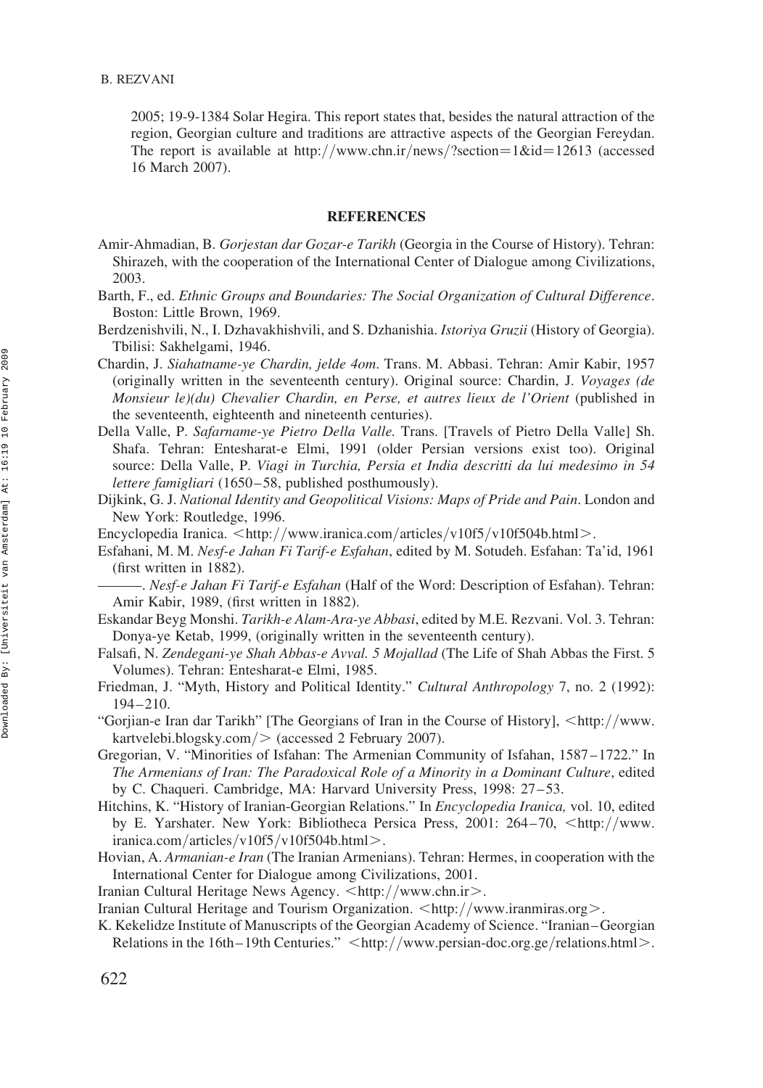2005; 19-9-1384 Solar Hegira. This report states that, besides the natural attraction of the region, Georgian culture and traditions are attractive aspects of the Georgian Fereydan. The report is available at http://www.chn.ir/news/?section= $1\text{&id}=12613$  (accessed 16 March 2007).

#### **REFERENCES**

- Amir-Ahmadian, B. Gorjestan dar Gozar-e Tarikh (Georgia in the Course of History). Tehran: Shirazeh, with the cooperation of the International Center of Dialogue among Civilizations, 2003.
- Barth, F., ed. Ethnic Groups and Boundaries: The Social Organization of Cultural Difference. Boston: Little Brown, 1969.
- Berdzenishvili, N., I. Dzhavakhishvili, and S. Dzhanishia. *Istoriya Gruzii* (History of Georgia). Tbilisi: Sakhelgami, 1946.
- Chardin, J. Siahatname-ye Chardin, jelde 4om. Trans. M. Abbasi. Tehran: Amir Kabir, 1957 (originally written in the seventeenth century). Original source: Chardin, J. Voyages (de Monsieur le)(du) Chevalier Chardin, en Perse, et autres lieux de l'Orient (published in the seventeenth, eighteenth and nineteenth centuries).
- Della Valle, P. Safarname-ye Pietro Della Valle. Trans. [Travels of Pietro Della Valle] Sh. Shafa. Tehran: Entesharat-e Elmi, 1991 (older Persian versions exist too). Original source: Della Valle, P. Viagi in Turchia, Persia et India descritti da lui medesimo in 54 lettere famigliari (1650–58, published posthumously).
- Dijkink, G. J. National Identity and Geopolitical Visions: Maps of Pride and Pain. London and New York: Routledge, 1996.
- Encyclopedia Iranica. <http://www.iranica.com/articles/v10f5/v10f504b.html>.
- Esfahani, M. M. Nesf-e Jahan Fi Tarif-e Esfahan, edited by M. Sotudeh. Esfahan: Ta'id, 1961 (first written in 1882).
	- -. Nesf-e Jahan Fi Tarif-e Esfahan (Half of the Word: Description of Esfahan). Tehran: Amir Kabir, 1989, (first written in 1882).
- Eskandar Beyg Monshi. Tarikh-e Alam-Ara-ye Abbasi, edited by M.E. Rezvani. Vol. 3. Tehran: Donya-ye Ketab, 1999, (originally written in the seventeenth century).
- Falsafi, N. Zendegani-ye Shah Abbas-e Avval. 5 Mojallad (The Life of Shah Abbas the First. 5 Volumes). Tehran: Entesharat-e Elmi, 1985.
- Friedman, J. "Myth, History and Political Identity." Cultural Anthropology 7, no. 2 (1992): 194–210.
- "Gorjian-e Iran dar Tarikh" [The Georgians of Iran in the Course of History],  $\lt$ http://www. kartvelebi.blogsky.com/ $>$  (accessed 2 February 2007).
- Gregorian, V. "Minorities of Isfahan: The Armenian Community of Isfahan, 1587–1722." In The Armenians of Iran: The Paradoxical Role of a Minority in a Dominant Culture, edited by C. Chaqueri. Cambridge, MA: Harvard University Press, 1998: 27–53.
- Hitchins, K. "History of Iranian-Georgian Relations." In Encyclopedia Iranica, vol. 10, edited by E. Yarshater. New York: Bibliotheca Persica Press, 2001:  $264-70$ ,  $\lt$ http://www.  $iranica.com/articles/v10f5/v10f504b.html$ .
- Hovian, A. Armanian-e Iran (The Iranian Armenians). Tehran: Hermes, in cooperation with the International Center for Dialogue among Civilizations, 2001.
- Iranian Cultural Heritage News Agency.  $\langle \text{http://www.chn.ir>}.$
- Iranian Cultural Heritage and Tourism Organization.  $\lt$ http://www.iranmiras.org...
- K. Kekelidze Institute of Manuscripts of the Georgian Academy of Science. "Iranian–Georgian Relations in the 16th–19th Centuries."  $\langle \text{http://www.persian-doc.org.get/relations.html}\rangle$ .